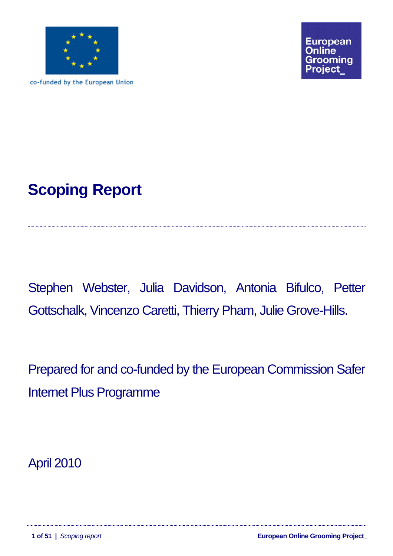

co-funded by the European Union



Stephen Webster, Julia Davidson, Antonia Bifulco, Petter Gottschalk, Vincenzo Caretti, Thierry Pham, Julie Grove-Hills.

Prepared for and co-funded by the European Commission Safer Internet Plus Programme

April 2010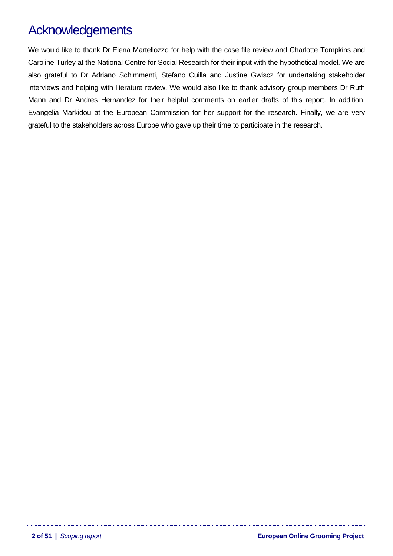# <span id="page-1-0"></span>**Acknowledgements**

We would like to thank Dr Elena Martellozzo for help with the case file review and Charlotte Tompkins and Caroline Turley at the National Centre for Social Research for their input with the hypothetical model. We are also grateful to Dr Adriano Schimmenti, Stefano Cuilla and Justine Gwiscz for undertaking stakeholder interviews and helping with literature review. We would also like to thank advisory group members Dr Ruth Mann and Dr Andres Hernandez for their helpful comments on earlier drafts of this report. In addition, Evangelia Markidou at the European Commission for her support for the research. Finally, we are very grateful to the stakeholders across Europe who gave up their time to participate in the research.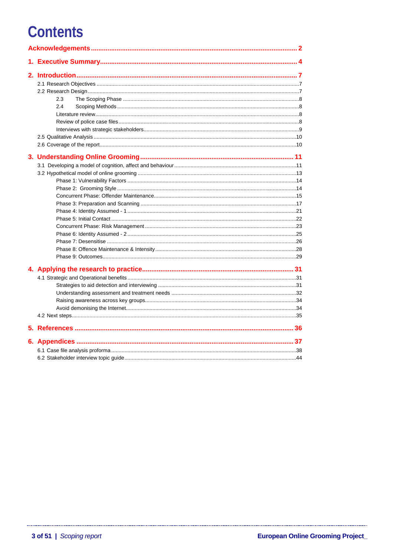# **Contents**

|  | 2.3 |  |  |  |  |
|--|-----|--|--|--|--|
|  | 2.4 |  |  |  |  |
|  |     |  |  |  |  |
|  |     |  |  |  |  |
|  |     |  |  |  |  |
|  |     |  |  |  |  |
|  |     |  |  |  |  |
|  |     |  |  |  |  |
|  |     |  |  |  |  |
|  |     |  |  |  |  |
|  |     |  |  |  |  |
|  |     |  |  |  |  |
|  |     |  |  |  |  |
|  |     |  |  |  |  |
|  |     |  |  |  |  |
|  |     |  |  |  |  |
|  |     |  |  |  |  |
|  |     |  |  |  |  |
|  |     |  |  |  |  |
|  |     |  |  |  |  |
|  |     |  |  |  |  |
|  |     |  |  |  |  |
|  |     |  |  |  |  |
|  |     |  |  |  |  |
|  |     |  |  |  |  |
|  |     |  |  |  |  |
|  |     |  |  |  |  |
|  |     |  |  |  |  |
|  |     |  |  |  |  |
|  |     |  |  |  |  |
|  |     |  |  |  |  |
|  |     |  |  |  |  |
|  |     |  |  |  |  |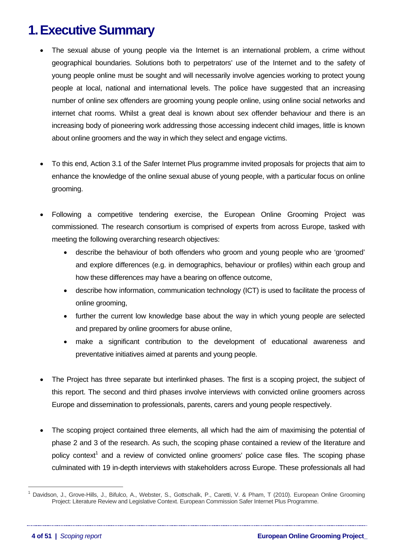# <span id="page-3-0"></span>**1. Executive Summary**

- The sexual abuse of young people via the Internet is an international problem, a crime without geographical boundaries. Solutions both to perpetrators' use of the Internet and to the safety of young people online must be sought and will necessarily involve agencies working to protect young people at local, national and international levels. The police have suggested that an increasing number of online sex offenders are grooming young people online, using online social networks and internet chat rooms. Whilst a great deal is known about sex offender behaviour and there is an increasing body of pioneering work addressing those accessing indecent child images, little is known about online groomers and the way in which they select and engage victims.
- To this end, Action 3.1 of the Safer Internet Plus programme invited proposals for projects that aim to enhance the knowledge of the online sexual abuse of young people, with a particular focus on online grooming.
- Following a competitive tendering exercise, the European Online Grooming Project was commissioned. The research consortium is comprised of experts from across Europe, tasked with meeting the following overarching research objectives:
	- describe the behaviour of both offenders who groom and young people who are 'groomed' and explore differences (e.g. in demographics, behaviour or profiles) within each group and how these differences may have a bearing on offence outcome,
	- describe how information, communication technology (ICT) is used to facilitate the process of online grooming,
	- further the current low knowledge base about the way in which young people are selected and prepared by online groomers for abuse online,
	- make a significant contribution to the development of educational awareness and preventative initiatives aimed at parents and young people.
- The Project has three separate but interlinked phases. The first is a scoping project, the subject of this report. The second and third phases involve interviews with convicted online groomers across Europe and dissemination to professionals, parents, carers and young people respectively.
- The scoping project contained three elements, all which had the aim of maximising the potential of phase 2 and 3 of the research. As such, the scoping phase contained a review of the literature and policy context<sup>[1](#page-3-1)</sup> and a review of convicted online groomers' police case files. The scoping phase culminated with 19 in-depth interviews with stakeholders across Europe. These professionals all had

 $\overline{a}$ 

<span id="page-3-1"></span><sup>&</sup>lt;sup>1</sup> Davidson, J., Grove-Hills, J., Bifulco, A., Webster, S., Gottschalk, P., Caretti, V. & Pham, T (2010). European Online Grooming Project: Literature Review and Legislative Context. European Commission Safer Internet Plus Programme.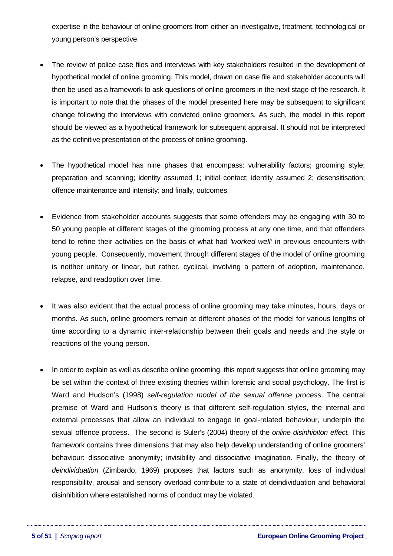expertise in the behaviour of online groomers from either an investigative, treatment, technological or young person's perspective.

- The review of police case files and interviews with key stakeholders resulted in the development of hypothetical model of online grooming. This model, drawn on case file and stakeholder accounts will then be used as a framework to ask questions of online groomers in the next stage of the research. It is important to note that the phases of the model presented here may be subsequent to significant change following the interviews with convicted online groomers. As such, the model in this report should be viewed as a hypothetical framework for subsequent appraisal. It should not be interpreted as the definitive presentation of the process of online grooming.
- The hypothetical model has nine phases that encompass: vulnerability factors; grooming style; preparation and scanning; identity assumed 1; initial contact; identity assumed 2; desensitisation; offence maintenance and intensity; and finally, outcomes.
- Evidence from stakeholder accounts suggests that some offenders may be engaging with 30 to 50 young people at different stages of the grooming process at any one time, and that offenders tend to refine their activities on the basis of what had *'worked well'* in previous encounters with young people. Consequently, movement through different stages of the model of online grooming is neither unitary or linear, but rather, cyclical, involving a pattern of adoption, maintenance, relapse, and readoption over time.
- It was also evident that the actual process of online grooming may take minutes, hours, days or months. As such, online groomers remain at different phases of the model for various lengths of time according to a dynamic inter-relationship between their goals and needs and the style or reactions of the young person.
- In order to explain as well as describe online grooming, this report suggests that online grooming may be set within the context of three existing theories within forensic and social psychology. The first is Ward and Hudson's (1998) *self-regulation model of the sexual offence process*. The central premise of Ward and Hudson's theory is that different self-regulation styles, the internal and external processes that allow an individual to engage in goal-related behaviour, underpin the sexual offence process. The second is Suler's (2004) theory of the *online disinhibiton effect.* This framework contains three dimensions that may also help develop understanding of online groomers' behaviour: dissociative anonymity; invisibility and dissociative imagination. Finally, the theory of *deindividuation* (Zimbardo, 1969) proposes that factors such as anonymity, loss of individual responsibility, arousal and sensory overload contribute to a state of deindividuation and behavioral disinhibition where established norms of conduct may be violated.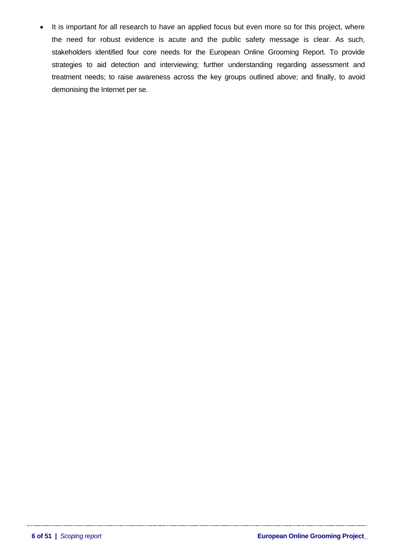It is important for all research to have an applied focus but even more so for this project, where the need for robust evidence is acute and the public safety message is clear. As such, stakeholders identified four core needs for the European Online Grooming Report. To provide strategies to aid detection and interviewing; further understanding regarding assessment and treatment needs; to raise awareness across the key groups outlined above; and finally, to avoid demonising the Internet per se.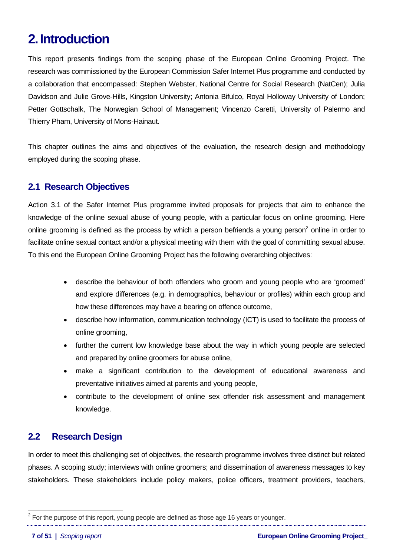# <span id="page-6-0"></span>**2. Introduction**

This report presents findings from the scoping phase of the European Online Grooming Project. The research was commissioned by the European Commission Safer Internet Plus programme and conducted by a collaboration that encompassed: Stephen Webster, National Centre for Social Research (NatCen); Julia Davidson and Julie Grove-Hills, Kingston University; Antonia Bifulco, Royal Holloway University of London; Petter Gottschalk, The Norwegian School of Management; Vincenzo Caretti, University of Palermo and Thierry Pham, University of Mons-Hainaut.

This chapter outlines the aims and objectives of the evaluation, the research design and methodology employed during the scoping phase.

# **2.1 Research Objectives**

Action 3.1 of the Safer Internet Plus programme invited proposals for projects that aim to enhance the knowledge of the online sexual abuse of young people, with a particular focus on online grooming. Here online grooming is defined as the process by which a person befriends a young person<sup>[2](#page-6-1)</sup> online in order to facilitate online sexual contact and/or a physical meeting with them with the goal of committing sexual abuse. To this end the European Online Grooming Project has the following overarching objectives:

- describe the behaviour of both offenders who groom and young people who are 'groomed' and explore differences (e.g. in demographics, behaviour or profiles) within each group and how these differences may have a bearing on offence outcome,
- describe how information, communication technology (ICT) is used to facilitate the process of online grooming,
- further the current low knowledge base about the way in which young people are selected and prepared by online groomers for abuse online,
- make a significant contribution to the development of educational awareness and preventative initiatives aimed at parents and young people,
- contribute to the development of online sex offender risk assessment and management knowledge.

# **2.2 Research Design**

In order to meet this challenging set of objectives, the research programme involves three distinct but related phases. A scoping study; interviews with online groomers; and dissemination of awareness messages to key stakeholders. These stakeholders include policy makers, police officers, treatment providers, teachers,

 $\overline{a}$ 

<span id="page-6-1"></span> $2$  For the purpose of this report, young people are defined as those age 16 years or younger.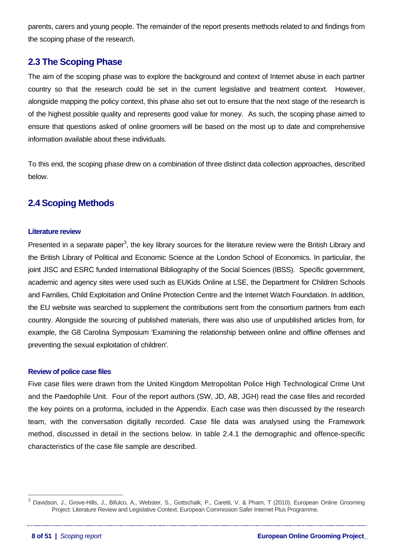<span id="page-7-0"></span>parents, carers and young people. The remainder of the report presents methods related to and findings from the scoping phase of the research.

# **2.3The Scoping Phase**

The aim of the scoping phase was to explore the background and context of Internet abuse in each partner country so that the research could be set in the current legislative and treatment context. However, alongside mapping the policy context, this phase also set out to ensure that the next stage of the research is of the highest possible quality and represents good value for money. As such, the scoping phase aimed to ensure that questions asked of online groomers will be based on the most up to date and comprehensive information available about these individuals.

To this end, the scoping phase drew on a combination of three distinct data collection approaches, described below.

# **2.4 Scoping Methods**

## **Literature review**

Presented in a separate paper<sup>[3](#page-7-1)</sup>, the key library sources for the literature review were the British Library and the British Library of Political and Economic Science at the London School of Economics. In particular, the joint JISC and ESRC funded International Bibliography of the Social Sciences (IBSS). Specific government, academic and agency sites were used such as EUKids Online at LSE, the Department for Children Schools and Families, Child Exploitation and Online Protection Centre and the Internet Watch Foundation. In addition, the EU website was searched to supplement the contributions sent from the consortium partners from each country. Alongside the sourcing of published materials, there was also use of unpublished articles from, for example, the G8 Carolina Symposium 'Examining the relationship between online and offline offenses and preventing the sexual exploitation of children'.

### **Review of police case files**

Five case files were drawn from the United Kingdom Metropolitan Police High Technological Crime Unit and the Paedophile Unit. Four of the report authors (SW, JD, AB, JGH) read the case files and recorded the key points on a proforma, included in the Appendix. Each case was then discussed by the research team, with the conversation digitally recorded. Case file data was analysed using the Framework method, discussed in detail in the sections below. In table 2.4.1 the demographic and offence-specific characteristics of the case file sample are described.

 $\overline{a}$ 

<span id="page-7-1"></span><sup>3</sup> Davidson, J., Grove-Hills, J., Bifulco, A., Webster, S., Gottschalk, P., Caretti, V. & Pham, T (2010). European Online Grooming Project: Literature Review and Legislative Context. European Commission Safer Internet Plus Programme.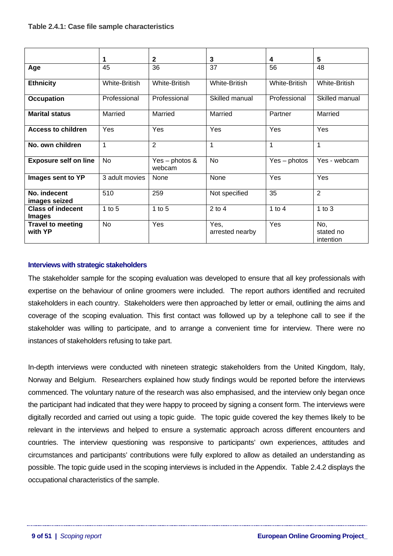<span id="page-8-0"></span>

|                                           | 1              | $\mathbf{2}$                | 3                       | 4                    | 5                             |
|-------------------------------------------|----------------|-----------------------------|-------------------------|----------------------|-------------------------------|
| Age                                       | 45             | 36                          | 37                      | 56                   | 48                            |
| <b>Ethnicity</b>                          | White-British  | White-British               | White-British           | <b>White-British</b> | White-British                 |
| <b>Occupation</b>                         | Professional   | Professional                | Skilled manual          | Professional         | Skilled manual                |
| <b>Marital status</b>                     | Married        | Married                     | Married                 | Partner              | Married                       |
| <b>Access to children</b>                 | Yes            | Yes                         | Yes                     | Yes                  | Yes                           |
| No. own children                          | 1              | $\overline{2}$              | 1                       | $\mathbf{1}$         | 1                             |
| <b>Exposure self on line</b>              | <b>No</b>      | Yes – photos $\&$<br>webcam | <b>No</b>               | $Yes - photos$       | Yes - webcam                  |
| Images sent to YP                         | 3 adult movies | None                        | None                    | Yes                  | Yes                           |
| No. indecent<br>images seized             | 510            | 259                         | Not specified           | 35                   | 2                             |
| <b>Class of indecent</b><br><b>Images</b> | $1$ to $5$     | $1$ to $5$                  | $2$ to 4                | 1 to $4$             | 1 to $3$                      |
| <b>Travel to meeting</b><br>with YP       | <b>No</b>      | Yes                         | Yes,<br>arrested nearby | Yes                  | No,<br>stated no<br>intention |

### **Interviews with strategic stakeholders**

The stakeholder sample for the scoping evaluation was developed to ensure that all key professionals with expertise on the behaviour of online groomers were included. The report authors identified and recruited stakeholders in each country. Stakeholders were then approached by letter or email, outlining the aims and coverage of the scoping evaluation. This first contact was followed up by a telephone call to see if the stakeholder was willing to participate, and to arrange a convenient time for interview. There were no instances of stakeholders refusing to take part.

In-depth interviews were conducted with nineteen strategic stakeholders from the United Kingdom, Italy, Norway and Belgium. Researchers explained how study findings would be reported before the interviews commenced. The voluntary nature of the research was also emphasised, and the interview only began once the participant had indicated that they were happy to proceed by signing a consent form. The interviews were digitally recorded and carried out using a topic guide. The topic guide covered the key themes likely to be relevant in the interviews and helped to ensure a systematic approach across different encounters and countries. The interview questioning was responsive to participants' own experiences, attitudes and circumstances and participants' contributions were fully explored to allow as detailed an understanding as possible. The topic guide used in the scoping interviews is included in the Appendix. Table 2.4.2 displays the occupational characteristics of the sample.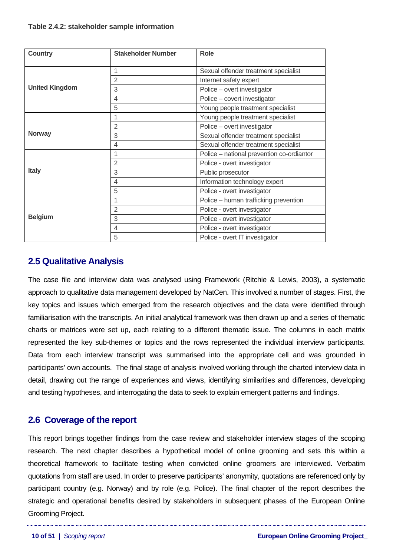### <span id="page-9-0"></span>**Table 2.4.2: stakeholder sample information**

| <b>Country</b>        | <b>Stakeholder Number</b>                      | <b>Role</b>                               |  |  |
|-----------------------|------------------------------------------------|-------------------------------------------|--|--|
|                       | 1<br>Sexual offender treatment specialist      |                                           |  |  |
|                       | $\overline{2}$                                 | Internet safety expert                    |  |  |
| <b>United Kingdom</b> | 3<br>Police - overt investigator               |                                           |  |  |
|                       | Police - covert investigator<br>$\overline{4}$ |                                           |  |  |
|                       | 5                                              | Young people treatment specialist         |  |  |
|                       | 1                                              | Young people treatment specialist         |  |  |
|                       | $\overline{2}$                                 | Police - overt investigator               |  |  |
| <b>Norway</b>         | 3                                              | Sexual offender treatment specialist      |  |  |
|                       | $\overline{\mathcal{A}}$                       | Sexual offender treatment specialist      |  |  |
|                       | 1                                              | Police - national prevention co-ordiantor |  |  |
|                       | $\overline{2}$<br>Police - overt investigator  |                                           |  |  |
| <b>Italy</b>          | 3<br>Public prosecutor                         |                                           |  |  |
|                       | $\overline{4}$                                 | Information technology expert             |  |  |
|                       | 5                                              | Police - overt investigator               |  |  |
|                       | 1                                              | Police - human trafficking prevention     |  |  |
|                       | $\overline{2}$                                 | Police - overt investigator               |  |  |
| <b>Belgium</b>        | 3                                              | Police - overt investigator               |  |  |
|                       | $\overline{4}$                                 | Police - overt investigator               |  |  |
|                       | 5                                              | Police - overt IT investigator            |  |  |

# **2.5Qualitative Analysis**

The case file and interview data was analysed using Framework (Ritchie & Lewis, 2003), a systematic approach to qualitative data management developed by NatCen. This involved a number of stages. First, the key topics and issues which emerged from the research objectives and the data were identified through familiarisation with the transcripts. An initial analytical framework was then drawn up and a series of thematic charts or matrices were set up, each relating to a different thematic issue. The columns in each matrix represented the key sub-themes or topics and the rows represented the individual interview participants. Data from each interview transcript was summarised into the appropriate cell and was grounded in participants' own accounts. The final stage of analysis involved working through the charted interview data in detail, drawing out the range of experiences and views, identifying similarities and differences, developing and testing hypotheses, and interrogating the data to seek to explain emergent patterns and findings.

# **2.6 Coverage of the report**

This report brings together findings from the case review and stakeholder interview stages of the scoping research. The next chapter describes a hypothetical model of online grooming and sets this within a theoretical framework to facilitate testing when convicted online groomers are interviewed. Verbatim quotations from staff are used. In order to preserve participants' anonymity, quotations are referenced only by participant country (e.g. Norway) and by role (e.g. Police). The final chapter of the report describes the strategic and operational benefits desired by stakeholders in subsequent phases of the European Online Grooming Project.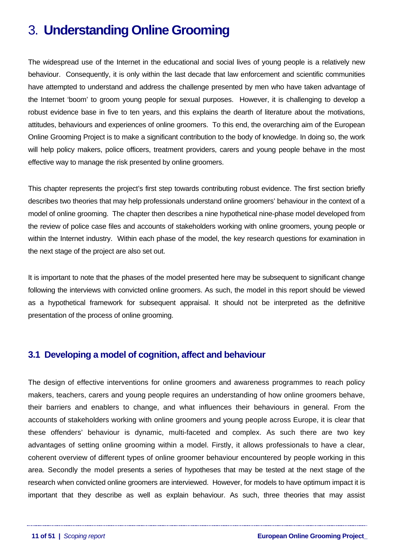# <span id="page-10-0"></span>3. **Understanding Online Grooming**

The widespread use of the Internet in the educational and social lives of young people is a relatively new behaviour. Consequently, it is only within the last decade that law enforcement and scientific communities have attempted to understand and address the challenge presented by men who have taken advantage of the Internet 'boom' to groom young people for sexual purposes. However, it is challenging to develop a robust evidence base in five to ten years, and this explains the dearth of literature about the motivations, attitudes, behaviours and experiences of online groomers. To this end, the overarching aim of the European Online Grooming Project is to make a significant contribution to the body of knowledge. In doing so, the work will help policy makers, police officers, treatment providers, carers and young people behave in the most effective way to manage the risk presented by online groomers.

This chapter represents the project's first step towards contributing robust evidence. The first section briefly describes two theories that may help professionals understand online groomers' behaviour in the context of a model of online grooming. The chapter then describes a nine hypothetical nine-phase model developed from the review of police case files and accounts of stakeholders working with online groomers, young people or within the Internet industry. Within each phase of the model, the key research questions for examination in the next stage of the project are also set out.

It is important to note that the phases of the model presented here may be subsequent to significant change following the interviews with convicted online groomers. As such, the model in this report should be viewed as a hypothetical framework for subsequent appraisal. It should not be interpreted as the definitive presentation of the process of online grooming.

# **3.1 Developing a model of cognition, affect and behaviour**

The design of effective interventions for online groomers and awareness programmes to reach policy makers, teachers, carers and young people requires an understanding of how online groomers behave, their barriers and enablers to change, and what influences their behaviours in general. From the accounts of stakeholders working with online groomers and young people across Europe, it is clear that these offenders' behaviour is dynamic, multi-faceted and complex. As such there are two key advantages of setting online grooming within a model. Firstly, it allows professionals to have a clear, coherent overview of different types of online groomer behaviour encountered by people working in this area. Secondly the model presents a series of hypotheses that may be tested at the next stage of the research when convicted online groomers are interviewed. However, for models to have optimum impact it is important that they describe as well as explain behaviour. As such, three theories that may assist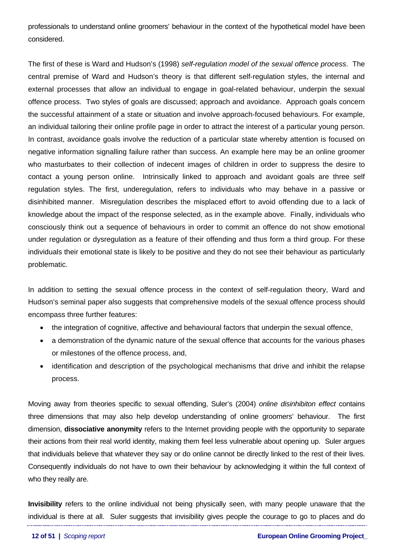professionals to understand online groomers' behaviour in the context of the hypothetical model have been considered.

The first of these is Ward and Hudson's (1998) *self-regulation model of the sexual offence process*. The central premise of Ward and Hudson's theory is that different self-regulation styles, the internal and external processes that allow an individual to engage in goal-related behaviour, underpin the sexual offence process. Two styles of goals are discussed; approach and avoidance. Approach goals concern the successful attainment of a state or situation and involve approach-focused behaviours. For example, an individual tailoring their online profile page in order to attract the interest of a particular young person. In contrast, avoidance goals involve the reduction of a particular state whereby attention is focused on negative information signalling failure rather than success. An example here may be an online groomer who masturbates to their collection of indecent images of children in order to suppress the desire to contact a young person online. Intrinsically linked to approach and avoidant goals are three self regulation styles. The first, underegulation, refers to individuals who may behave in a passive or disinhibited manner. Misregulation describes the misplaced effort to avoid offending due to a lack of knowledge about the impact of the response selected, as in the example above. Finally, individuals who consciously think out a sequence of behaviours in order to commit an offence do not show emotional under regulation or dysregulation as a feature of their offending and thus form a third group. For these individuals their emotional state is likely to be positive and they do not see their behaviour as particularly problematic.

In addition to setting the sexual offence process in the context of self-regulation theory, Ward and Hudson's seminal paper also suggests that comprehensive models of the sexual offence process should encompass three further features:

- the integration of cognitive, affective and behavioural factors that underpin the sexual offence,
- a demonstration of the dynamic nature of the sexual offence that accounts for the various phases or milestones of the offence process, and,
- identification and description of the psychological mechanisms that drive and inhibit the relapse process.

Moving away from theories specific to sexual offending, Suler's (2004) *online disinhibiton effect* contains three dimensions that may also help develop understanding of online groomers' behaviour. The first dimension, **dissociative anonymity** refers to the Internet providing people with the opportunity to separate their actions from their real world identity, making them feel less vulnerable about opening up. Suler argues that individuals believe that whatever they say or do online cannot be directly linked to the rest of their lives. Consequently individuals do not have to own their behaviour by acknowledging it within the full context of who they really are.

**Invisibility** refers to the online individual not being physically seen, with many people unaware that the individual is there at all. Suler suggests that invisibility gives people the courage to go to places and do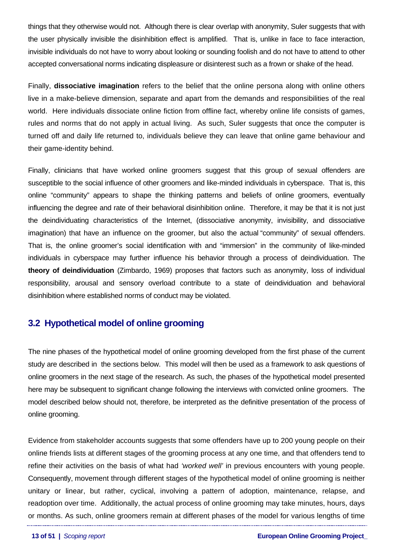<span id="page-12-0"></span>things that they otherwise would not. Although there is clear overlap with anonymity, Suler suggests that with the user physically invisible the disinhibition effect is amplified. That is, unlike in face to face interaction, invisible individuals do not have to worry about looking or sounding foolish and do not have to attend to other accepted conversational norms indicating displeasure or disinterest such as a frown or shake of the head.

Finally, **dissociative imagination** refers to the belief that the online persona along with online others live in a make-believe dimension, separate and apart from the demands and responsibilities of the real world. Here individuals dissociate online fiction from offline fact, whereby online life consists of games, rules and norms that do not apply in actual living. As such, Suler suggests that once the computer is turned off and daily life returned to, individuals believe they can leave that online game behaviour and their game-identity behind.

Finally, clinicians that have worked online groomers suggest that this group of sexual offenders are susceptible to the social influence of other groomers and like-minded individuals in cyberspace. That is, this online "community" appears to shape the thinking patterns and beliefs of online groomers, eventually influencing the degree and rate of their behavioral disinhibition online. Therefore, it may be that it is not just the deindividuating characteristics of the Internet, (dissociative anonymity, invisibility, and dissociative imagination) that have an influence on the groomer, but also the actual "community" of sexual offenders. That is, the online groomer's social identification with and "immersion" in the community of like-minded individuals in cyberspace may further influence his behavior through a process of deindividuation. The **theory of deindividuation** (Zimbardo, 1969) proposes that factors such as anonymity, loss of individual responsibility, arousal and sensory overload contribute to a state of deindividuation and behavioral disinhibition where established norms of conduct may be violated.

# **3.2 Hypothetical model of online grooming**

The nine phases of the hypothetical model of online grooming developed from the first phase of the current study are described in the sections below. This model will then be used as a framework to ask questions of online groomers in the next stage of the research. As such, the phases of the hypothetical model presented here may be subsequent to significant change following the interviews with convicted online groomers. The model described below should not, therefore, be interpreted as the definitive presentation of the process of online grooming.

Evidence from stakeholder accounts suggests that some offenders have up to 200 young people on their online friends lists at different stages of the grooming process at any one time, and that offenders tend to refine their activities on the basis of what had *'worked well'* in previous encounters with young people. Consequently, movement through different stages of the hypothetical model of online grooming is neither unitary or linear, but rather, cyclical, involving a pattern of adoption, maintenance, relapse, and readoption over time. Additionally, the actual process of online grooming may take minutes, hours, days or months. As such, online groomers remain at different phases of the model for various lengths of time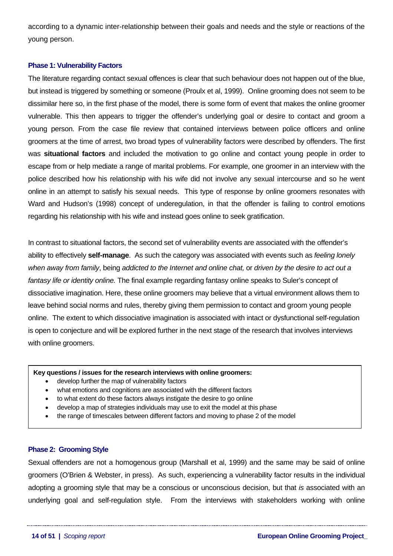<span id="page-13-0"></span>according to a dynamic inter-relationship between their goals and needs and the style or reactions of the young person.

## **Phase 1: Vulnerability Factors**

The literature regarding contact sexual offences is clear that such behaviour does not happen out of the blue, but instead is triggered by something or someone (Proulx et al, 1999). Online grooming does not seem to be dissimilar here so, in the first phase of the model, there is some form of event that makes the online groomer vulnerable. This then appears to trigger the offender's underlying goal or desire to contact and groom a young person. From the case file review that contained interviews between police officers and online groomers at the time of arrest, two broad types of vulnerability factors were described by offenders. The first was **situational factors** and included the motivation to go online and contact young people in order to escape from or help mediate a range of marital problems. For example, one groomer in an interview with the police described how his relationship with his wife did not involve any sexual intercourse and so he went online in an attempt to satisfy his sexual needs. This type of response by online groomers resonates with Ward and Hudson's (1998) concept of underegulation, in that the offender is failing to control emotions regarding his relationship with his wife and instead goes online to seek gratification.

In contrast to situational factors, the second set of vulnerability events are associated with the offender's ability to effectively **self-manage**. As such the category was associated with events such as *feeling lonely when away from family*, being *addicted to the Internet and online chat,* or *driven by the desire to act out a fantasy life or identity online.* The final example regarding fantasy online speaks to Suler's concept of dissociative imagination. Here, these online groomers may believe that a virtual environment allows them to leave behind social norms and rules, thereby giving them permission to contact and groom young people online. The extent to which dissociative imagination is associated with intact or dysfunctional self-regulation is open to conjecture and will be explored further in the next stage of the research that involves interviews with online groomers.

#### **Key questions / issues for the research interviews with online groomers:**

- develop further the map of vulnerability factors
- what emotions and cognitions are associated with the different factors
- to what extent do these factors always instigate the desire to go online
- develop a map of strategies individuals may use to exit the model at this phase
- the range of timescales between different factors and moving to phase 2 of the model

### **Phase 2: Grooming Style**

Sexual offenders are not a homogenous group (Marshall et al, 1999) and the same may be said of online groomers (O'Brien & Webster, in press). As such, experiencing a vulnerability factor results in the individual adopting a grooming style that may be a conscious or unconscious decision, but that *is* associated with an underlying goal and self-regulation style. From the interviews with stakeholders working with online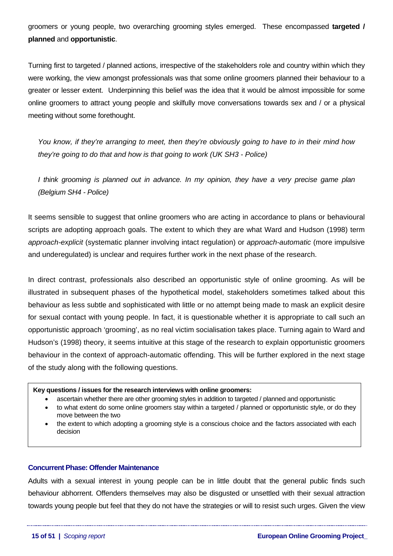<span id="page-14-0"></span>groomers or young people, two overarching grooming styles emerged. These encompassed **targeted / planned** and **opportunistic**.

Turning first to targeted / planned actions, irrespective of the stakeholders role and country within which they were working, the view amongst professionals was that some online groomers planned their behaviour to a greater or lesser extent. Underpinning this belief was the idea that it would be almost impossible for some online groomers to attract young people and skilfully move conversations towards sex and / or a physical meeting without some forethought.

*You know, if they're arranging to meet, then they're obviously going to have to in their mind how they're going to do that and how is that going to work (UK SH3 - Police)* 

*I think grooming is planned out in advance. In my opinion, they have a very precise game plan (Belgium SH4 - Police)*

It seems sensible to suggest that online groomers who are acting in accordance to plans or behavioural scripts are adopting approach goals. The extent to which they are what Ward and Hudson (1998) term *approach-explicit* (systematic planner involving intact regulation) or *approach-automatic* (more impulsive and underegulated) is unclear and requires further work in the next phase of the research.

In direct contrast, professionals also described an opportunistic style of online grooming. As will be illustrated in subsequent phases of the hypothetical model, stakeholders sometimes talked about this behaviour as less subtle and sophisticated with little or no attempt being made to mask an explicit desire for sexual contact with young people. In fact, it is questionable whether it is appropriate to call such an opportunistic approach 'grooming', as no real victim socialisation takes place. Turning again to Ward and Hudson's (1998) theory, it seems intuitive at this stage of the research to explain opportunistic groomers behaviour in the context of approach-automatic offending. This will be further explored in the next stage of the study along with the following questions.

#### **Key questions / issues for the research interviews with online groomers:**

- ascertain whether there are other grooming styles in addition to targeted / planned and opportunistic
- to what extent do some online groomers stay within a targeted / planned or opportunistic style, or do they move between the two
- the extent to which adopting a grooming style is a conscious choice and the factors associated with each decision

# **Concurrent Phase: Offender Maintenance**

Adults with a sexual interest in young people can be in little doubt that the general public finds such behaviour abhorrent. Offenders themselves may also be disgusted or unsettled with their sexual attraction towards young people but feel that they do not have the strategies or will to resist such urges. Given the view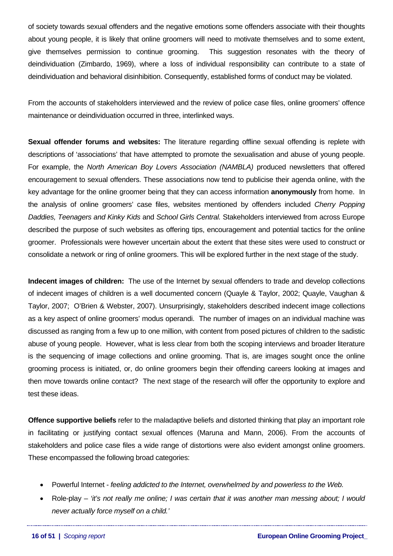of society towards sexual offenders and the negative emotions some offenders associate with their thoughts about young people, it is likely that online groomers will need to motivate themselves and to some extent, give themselves permission to continue grooming. This suggestion resonates with the theory of deindividuation (Zimbardo, 1969), where a loss of individual responsibility can contribute to a state of deindividuation and behavioral disinhibition. Consequently, established forms of conduct may be violated.

From the accounts of stakeholders interviewed and the review of police case files, online groomers' offence maintenance or deindividuation occurred in three, interlinked ways.

**Sexual offender forums and websites:** The literature regarding offline sexual offending is replete with descriptions of 'associations' that have attempted to promote the sexualisation and abuse of young people. For example, the *North American Boy Lovers Association (NAMBLA)* produced newsletters that offered encouragement to sexual offenders. These associations now tend to publicise their agenda online, with the key advantage for the online groomer being that they can access information **anonymously** from home. In the analysis of online groomers' case files, websites mentioned by offenders included *Cherry Popping Daddies, Teenagers and Kinky Kids* and *School Girls Central.* Stakeholders interviewed from across Europe described the purpose of such websites as offering tips, encouragement and potential tactics for the online groomer. Professionals were however uncertain about the extent that these sites were used to construct or consolidate a network or ring of online groomers. This will be explored further in the next stage of the study.

**Indecent images of children:** The use of the Internet by sexual offenders to trade and develop collections of indecent images of children is a well documented concern (Quayle & Taylor, 2002; Quayle, Vaughan & Taylor, 2007; O'Brien & Webster, 2007). Unsurprisingly, stakeholders described indecent image collections as a key aspect of online groomers' modus operandi. The number of images on an individual machine was discussed as ranging from a few up to one million, with content from posed pictures of children to the sadistic abuse of young people. However, what is less clear from both the scoping interviews and broader literature is the sequencing of image collections and online grooming. That is, are images sought once the online grooming process is initiated, or, do online groomers begin their offending careers looking at images and then move towards online contact? The next stage of the research will offer the opportunity to explore and test these ideas.

**Offence supportive beliefs** refer to the maladaptive beliefs and distorted thinking that play an important role in facilitating or justifying contact sexual offences (Maruna and Mann, 2006). From the accounts of stakeholders and police case files a wide range of distortions were also evident amongst online groomers. These encompassed the following broad categories:

- Powerful Internet *feeling addicted to the Internet, overwhelmed by and powerless to the Web.*
- Role-play – *'it's not really me online; I was certain that it was another man messing about; I would never actually force myself on a child.'*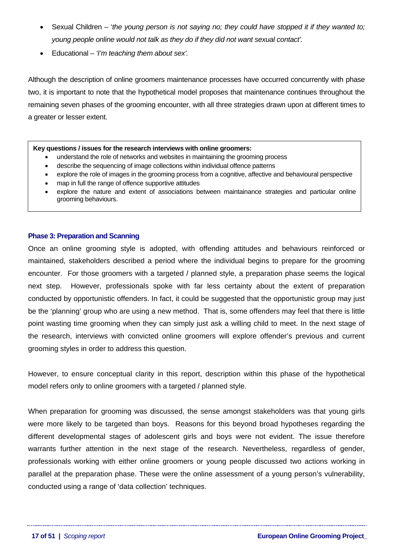- <span id="page-16-0"></span>• Sexual Children – '*the young person is not saying no; they could have stopped it if they wanted to; young people online would not talk as they do if they did not want sexual contact'.*
- Educational  *'I'm teaching them about sex'.*

Although the description of online groomers maintenance processes have occurred concurrently with phase two, it is important to note that the hypothetical model proposes that maintenance continues throughout the remaining seven phases of the grooming encounter, with all three strategies drawn upon at different times to a greater or lesser extent.

#### **Key questions / issues for the research interviews with online groomers:**

- understand the role of networks and websites in maintaining the grooming process
- describe the sequencing of image collections within individual offence patterns
- explore the role of images in the grooming process from a cognitive, affective and behavioural perspective
- map in full the range of offence supportive attitudes
- explore the nature and extent of associations between maintainance strategies and particular online grooming behaviours.

### **Phase 3: Preparation and Scanning**

Once an online grooming style is adopted, with offending attitudes and behaviours reinforced or maintained, stakeholders described a period where the individual begins to prepare for the grooming encounter. For those groomers with a targeted / planned style, a preparation phase seems the logical next step. However, professionals spoke with far less certainty about the extent of preparation conducted by opportunistic offenders. In fact, it could be suggested that the opportunistic group may just be the 'planning' group who are using a new method. That is, some offenders may feel that there is little point wasting time grooming when they can simply just ask a willing child to meet. In the next stage of the research, interviews with convicted online groomers will explore offender's previous and current grooming styles in order to address this question.

However, to ensure conceptual clarity in this report, description within this phase of the hypothetical model refers only to online groomers with a targeted / planned style.

When preparation for grooming was discussed, the sense amongst stakeholders was that young girls were more likely to be targeted than boys. Reasons for this beyond broad hypotheses regarding the different developmental stages of adolescent girls and boys were not evident. The issue therefore warrants further attention in the next stage of the research. Nevertheless, regardless of gender, professionals working with either online groomers or young people discussed two actions working in parallel at the preparation phase. These were the online assessment of a young person's vulnerability, conducted using a range of 'data collection' techniques.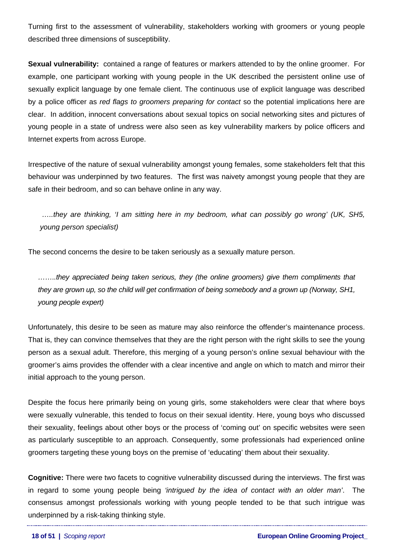Turning first to the assessment of vulnerability, stakeholders working with groomers or young people described three dimensions of susceptibility.

**Sexual vulnerability:** contained a range of features or markers attended to by the online groomer. For example, one participant working with young people in the UK described the persistent online use of sexually explicit language by one female client. The continuous use of explicit language was described by a police officer as *red flags to groomers preparing for contact* so the potential implications here are clear. In addition, innocent conversations about sexual topics on social networking sites and pictures of young people in a state of undress were also seen as key vulnerability markers by police officers and Internet experts from across Europe.

Irrespective of the nature of sexual vulnerability amongst young females, some stakeholders felt that this behaviour was underpinned by two features. The first was naivety amongst young people that they are safe in their bedroom, and so can behave online in any way.

 *…..they are thinking, 'I am sitting here in my bedroom, what can possibly go wrong' (UK, SH5, young person specialist)* 

The second concerns the desire to be taken seriously as a sexually mature person.

*……..they appreciated being taken serious, they (the online groomers) give them compliments that they are grown up, so the child will get confirmation of being somebody and a grown up (Norway, SH1, young people expert)* 

Unfortunately, this desire to be seen as mature may also reinforce the offender's maintenance process. That is, they can convince themselves that they are the right person with the right skills to see the young person as a sexual adult. Therefore, this merging of a young person's online sexual behaviour with the groomer's aims provides the offender with a clear incentive and angle on which to match and mirror their initial approach to the young person.

Despite the focus here primarily being on young girls, some stakeholders were clear that where boys were sexually vulnerable, this tended to focus on their sexual identity. Here, young boys who discussed their sexuality, feelings about other boys or the process of 'coming out' on specific websites were seen as particularly susceptible to an approach. Consequently, some professionals had experienced online groomers targeting these young boys on the premise of 'educating' them about their sexuality.

**Cognitive:** There were two facets to cognitive vulnerability discussed during the interviews. The first was in regard to some young people being *'intrigued by the idea of contact with an older man'*. The consensus amongst professionals working with young people tended to be that such intrigue was underpinned by a risk-taking thinking style.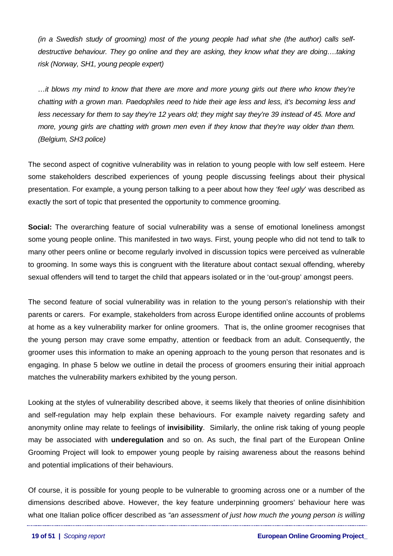*(in a Swedish study of grooming) most of the young people had what she (the author) calls selfdestructive behaviour. They go online and they are asking, they know what they are doing….taking risk (Norway, SH1, young people expert)* 

*…it blows my mind to know that there are more and more young girls out there who know they're chatting with a grown man. Paedophiles need to hide their age less and less, it's becoming less and less necessary for them to say they're 12 years old; they might say they're 39 instead of 45. More and more, young girls are chatting with grown men even if they know that they're way older than them. (Belgium, SH3 police)* 

The second aspect of cognitive vulnerability was in relation to young people with low self esteem. Here some stakeholders described experiences of young people discussing feelings about their physical presentation. For example, a young person talking to a peer about how they *'feel ugly*' was described as exactly the sort of topic that presented the opportunity to commence grooming.

**Social:** The overarching feature of social vulnerability was a sense of emotional loneliness amongst some young people online. This manifested in two ways. First, young people who did not tend to talk to many other peers online or become regularly involved in discussion topics were perceived as vulnerable to grooming. In some ways this is congruent with the literature about contact sexual offending, whereby sexual offenders will tend to target the child that appears isolated or in the 'out-group' amongst peers.

The second feature of social vulnerability was in relation to the young person's relationship with their parents or carers. For example, stakeholders from across Europe identified online accounts of problems at home as a key vulnerability marker for online groomers. That is, the online groomer recognises that the young person may crave some empathy, attention or feedback from an adult. Consequently, the groomer uses this information to make an opening approach to the young person that resonates and is engaging. In phase 5 below we outline in detail the process of groomers ensuring their initial approach matches the vulnerability markers exhibited by the young person.

Looking at the styles of vulnerability described above, it seems likely that theories of online disinhibition and self-regulation may help explain these behaviours. For example naivety regarding safety and anonymity online may relate to feelings of **invisibility**. Similarly, the online risk taking of young people may be associated with **underegulation** and so on. As such, the final part of the European Online Grooming Project will look to empower young people by raising awareness about the reasons behind and potential implications of their behaviours.

Of course, it is possible for young people to be vulnerable to grooming across one or a number of the dimensions described above. However, the key feature underpinning groomers' behaviour here was what one Italian police officer described as *"an assessment of just how much the young person is willing*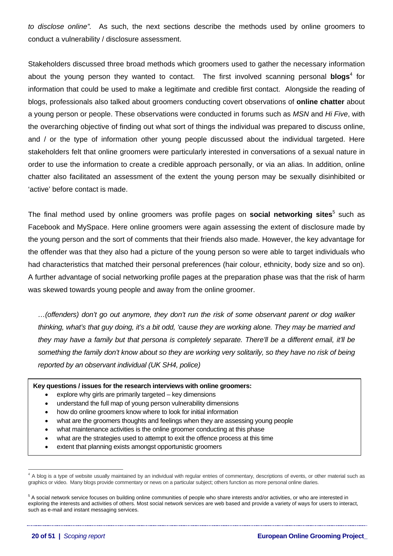*to disclose online".* As such, the next sections describe the methods used by online groomers to conduct a vulnerability / disclosure assessment.

Stakeholders discussed three broad methods which groomers used to gather the necessary information about the young person they wanted to contact. The first involved scanning personal **blogs**<sup>[4](#page-19-0)</sup> for information that could be used to make a legitimate and credible first contact. Alongside the reading of blogs, professionals also talked about groomers conducting covert observations of **online chatter** about a young person or people. These observations were conducted in forums such as *MSN* and *Hi Five*, with the overarching objective of finding out what sort of things the individual was prepared to discuss online, and / or the type of information other young people discussed about the individual targeted. Here stakeholders felt that online groomers were particularly interested in conversations of a sexual nature in order to use the information to create a credible approach personally, or via an alias. In addition, online chatter also facilitated an assessment of the extent the young person may be sexually disinhibited or 'active' before contact is made.

The final method used by online groomers was profile pages on **social networking sites**<sup>[5](#page-19-1)</sup> such as Facebook and MySpace. Here online groomers were again assessing the extent of disclosure made by the young person and the sort of comments that their friends also made. However, the key advantage for the offender was that they also had a picture of the young person so were able to target individuals who had characteristics that matched their personal preferences (hair colour, ethnicity, body size and so on). A further advantage of social networking profile pages at the preparation phase was that the risk of harm was skewed towards young people and away from the online groomer.

*…(offenders) don't go out anymore, they don't run the risk of some observant parent or dog walker thinking, what's that guy doing, it's a bit odd, 'cause they are working alone. They may be married and they may have a family but that persona is completely separate. There'll be a different email, it'll be something the family don't know about so they are working very solitarily, so they have no risk of being reported by an observant individual (UK SH4, police)* 

#### **Key questions / issues for the research interviews with online groomers:**

- explore why girls are primarily targeted key dimensions
- understand the full map of young person vulnerability dimensions
- how do online groomers know where to look for initial information
- what are the groomers thoughts and feelings when they are assessing young people
- what maintenance activities is the online groomer conducting at this phase
- what are the strategies used to attempt to exit the offence process at this time
- extent that planning exists amongst opportunistic groomers

<span id="page-19-0"></span> $\frac{1}{4}$  $4$  A blog is a type of website usually maintained by an individual with regular entries of commentary, descriptions of events, or other material such as graphics or video. Many blogs provide commentary or news on a particular subject; others function as more personal online diaries.

<span id="page-19-1"></span><sup>&</sup>lt;sup>5</sup> A social network service focuses on building online communities of people who share interests and/or activities, or who are interested in exploring the interests and activities of others. Most social network services are web based and provide a variety of ways for users to interact, such as e-mail and instant messaging services.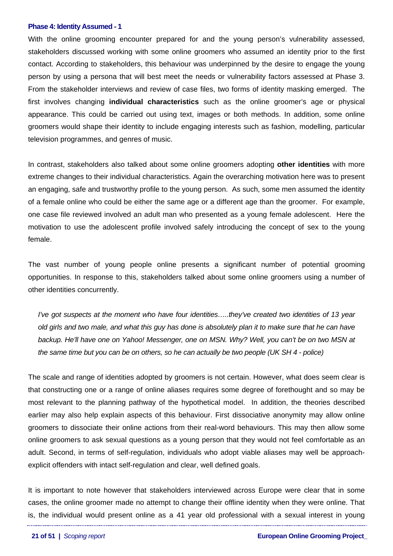#### <span id="page-20-0"></span>**Phase 4: Identity Assumed - 1**

With the online grooming encounter prepared for and the young person's vulnerability assessed, stakeholders discussed working with some online groomers who assumed an identity prior to the first contact. According to stakeholders, this behaviour was underpinned by the desire to engage the young person by using a persona that will best meet the needs or vulnerability factors assessed at Phase 3. From the stakeholder interviews and review of case files, two forms of identity masking emerged. The first involves changing **individual characteristics** such as the online groomer's age or physical appearance. This could be carried out using text, images or both methods. In addition, some online groomers would shape their identity to include engaging interests such as fashion, modelling, particular television programmes, and genres of music.

In contrast, stakeholders also talked about some online groomers adopting **other identities** with more extreme changes to their individual characteristics. Again the overarching motivation here was to present an engaging, safe and trustworthy profile to the young person. As such, some men assumed the identity of a female online who could be either the same age or a different age than the groomer. For example, one case file reviewed involved an adult man who presented as a young female adolescent. Here the motivation to use the adolescent profile involved safely introducing the concept of sex to the young female.

The vast number of young people online presents a significant number of potential grooming opportunities. In response to this, stakeholders talked about some online groomers using a number of other identities concurrently.

*I've got suspects at the moment who have four identities…..they've created two identities of 13 year old girls and two male, and what this guy has done is absolutely plan it to make sure that he can have backup. He'll have one on Yahoo! Messenger, one on MSN. Why? Well, you can't be on two MSN at the same time but you can be on others, so he can actually be two people (UK SH 4 - police)* 

The scale and range of identities adopted by groomers is not certain. However, what does seem clear is that constructing one or a range of online aliases requires some degree of forethought and so may be most relevant to the planning pathway of the hypothetical model. In addition, the theories described earlier may also help explain aspects of this behaviour. First dissociative anonymity may allow online groomers to dissociate their online actions from their real-word behaviours. This may then allow some online groomers to ask sexual questions as a young person that they would not feel comfortable as an adult. Second, in terms of self-regulation, individuals who adopt viable aliases may well be approachexplicit offenders with intact self-regulation and clear, well defined goals.

It is important to note however that stakeholders interviewed across Europe were clear that in some cases, the online groomer made no attempt to change their offline identity when they were online. That is, the individual would present online as a 41 year old professional with a sexual interest in young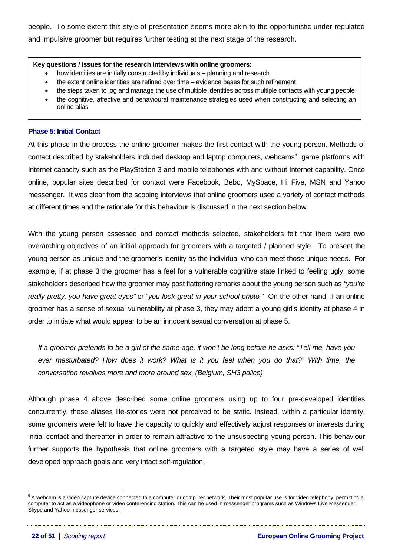<span id="page-21-0"></span>people. To some extent this style of presentation seems more akin to the opportunistic under-regulated and impulsive groomer but requires further testing at the next stage of the research.

#### **Key questions / issues for the research interviews with online groomers:**

- how identities are initially constructed by individuals planning and research
- the extent online identities are refined over time evidence bases for such refinement
- the steps taken to log and manage the use of multiple identities across multiple contacts with young people
- the cognitive, affective and behavioural maintenance strategies used when constructing and selecting an online alias

### **Phase 5: Initial Contact**

At this phase in the process the online groomer makes the first contact with the young person. Methods of contact described by stakeholders included desktop and laptop computers, webcams<sup>6</sup>, game platforms with Internet capacity such as the PlayStation 3 and mobile telephones with and without Internet capability. Once online, popular sites described for contact were Facebook, Bebo, MySpace, Hi Five, MSN and Yahoo messenger. It was clear from the scoping interviews that online groomers used a variety of contact methods at different times and the rationale for this behaviour is discussed in the next section below.

With the young person assessed and contact methods selected, stakeholders felt that there were two overarching objectives of an initial approach for groomers with a targeted / planned style. To present the young person as unique and the groomer's identity as the individual who can meet those unique needs. For example, if at phase 3 the groomer has a feel for a vulnerable cognitive state linked to feeling ugly, some stakeholders described how the groomer may post flattering remarks about the young person such as *"you're really pretty, you have great eyes"* or "*you look great in your school photo."* On the other hand, if an online groomer has a sense of sexual vulnerability at phase 3, they may adopt a young girl's identity at phase 4 in order to initiate what would appear to be an innocent sexual conversation at phase 5.

*If a groomer pretends to be a girl of the same age, it won't be long before he asks: "Tell me, have you ever masturbated? How does it work? What is it you feel when you do that?" With time, the conversation revolves more and more around sex. (Belgium, SH3 police)* 

Although phase 4 above described some online groomers using up to four pre-developed identities concurrently, these aliases life-stories were not perceived to be static. Instead, within a particular identity, some groomers were felt to have the capacity to quickly and effectively adjust responses or interests during initial contact and thereafter in order to remain attractive to the unsuspecting young person. This behaviour further supports the hypothesis that online groomers with a targeted style may have a series of well developed approach goals and very intact self-regulation.

<span id="page-21-1"></span><sup>-&</sup>lt;br>6  $6$  A webcam is a video capture device connected to a computer or computer network. Their most popular use is for video telephony, permitting a computer to act as a videophone or video conferencing station. This can be used in messenger programs such as Windows Live Messenger, Skype and Yahoo messenger services.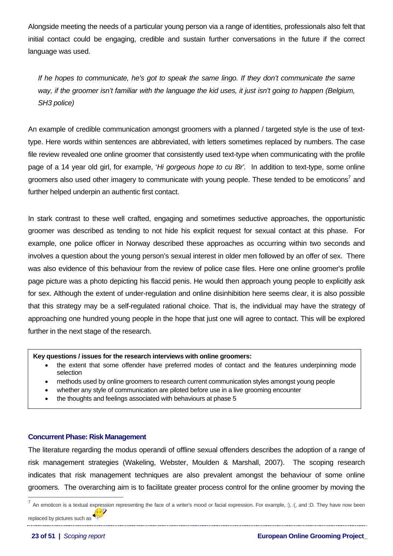<span id="page-22-0"></span>Alongside meeting the needs of a particular young person via a range of identities, professionals also felt that initial contact could be engaging, credible and sustain further conversations in the future if the correct language was used.

*If he hopes to communicate, he's got to speak the same lingo. If they don't communicate the same way, if the groomer isn't familiar with the language the kid uses, it just isn't going to happen (Belgium, SH3 police)* 

An example of credible communication amongst groomers with a planned / targeted style is the use of texttype. Here words within sentences are abbreviated, with letters sometimes replaced by numbers. The case file review revealed one online groomer that consistently used text-type when communicating with the profile page of a 14 year old girl, for example, '*Hi gorgeous hope to cu l8r'.* In addition to text-type, some online groomers also used other imagery to communicate with young people. These tended to be emoticons<sup>[7](#page-22-1)</sup> and further helped underpin an authentic first contact.

In stark contrast to these well crafted, engaging and sometimes seductive approaches, the opportunistic groomer was described as tending to not hide his explicit request for sexual contact at this phase. For example, one police officer in Norway described these approaches as occurring within two seconds and involves a question about the young person's sexual interest in older men followed by an offer of sex. There was also evidence of this behaviour from the review of police case files. Here one online groomer's profile page picture was a photo depicting his flaccid penis. He would then approach young people to explicitly ask for sex. Although the extent of under-regulation and online disinhibition here seems clear, it is also possible that this strategy may be a self-regulated rational choice. That is, the individual may have the strategy of approaching one hundred young people in the hope that just one will agree to contact. This will be explored further in the next stage of the research.

#### **Key questions / issues for the research interviews with online groomers:**

- the extent that some offender have preferred modes of contact and the features underpinning mode selection
- methods used by online groomers to research current communication styles amongst young people
- whether any style of communication are piloted before use in a live grooming encounter
- the thoughts and feelings associated with behaviours at phase 5

#### **Concurrent Phase: Risk Management**

The literature regarding the modus operandi of offline sexual offenders describes the adoption of a range of risk management strategies (Wakeling, Webster, Moulden & Marshall, 2007). The scoping research indicates that risk management techniques are also prevalent amongst the behaviour of some online groomers. The overarching aim is to facilitate greater process control for the online groomer by moving the

replaced by pictures such as  $\overline{\textbf{E}}$ 

<span id="page-22-1"></span> $^7$  An emoticon is a textual expression representing the face of a writer's mood or facial expression. For example, :), :(, and :D. They have now been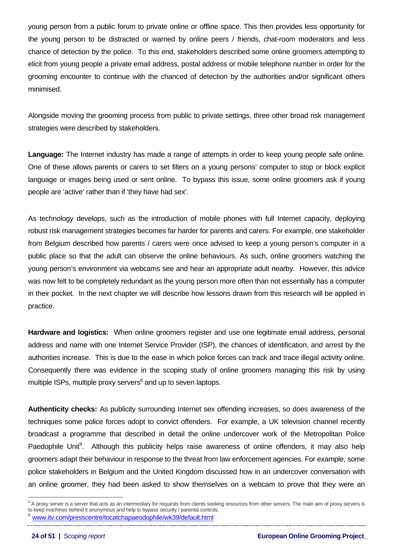young person from a public forum to private online or offline space. This then provides less opportunity for the young person to be distracted or warned by online peers / friends, chat-room moderators and less chance of detection by the police. To this end, stakeholders described some online groomers attempting to elicit from young people a private email address, postal address or mobile telephone number in order for the grooming encounter to continue with the chanced of detection by the authorities and/or significant others minimised.

Alongside moving the grooming process from public to private settings, three other broad risk management strategies were described by stakeholders.

**Language:** The Internet industry has made a range of attempts in order to keep young people safe online. One of these allows parents or carers to set filters on a young persons' computer to stop or block explicit language or images being used or sent online. To bypass this issue, some online groomers ask if young people are 'active' rather than if 'they have had sex'.

As technology develops, such as the introduction of mobile phones with full Internet capacity, deploying robust risk management strategies becomes far harder for parents and carers. For example, one stakeholder from Belgium described how parents / carers were once advised to keep a young person's computer in a public place so that the adult can observe the online behaviours. As such, online groomers watching the young person's environment via webcams see and hear an appropriate adult nearby. However, this advice was now felt to be completely redundant as the young person more often than not essentially has a computer in their pocket. In the next chapter we will describe how lessons drawn from this research will be applied in practice.

**Hardware and logistics:** When online groomers register and use one legitimate email address, personal address and name with one Internet Service Provider (ISP), the chances of identification, and arrest by the authorities increase. This is due to the ease in which police forces can track and trace illegal activity online. Consequently there was evidence in the scoping study of online groomers managing this risk by using multiple ISPs, multiple proxy servers<sup>[8](#page-23-0)</sup> and up to seven laptops.

**Authenticity checks:** As publicity surrounding Internet sex offending increases, so does awareness of the techniques some police forces adopt to convict offenders. For example, a UK television channel recently broadcast a programme that described in detail the online undercover work of the Metropolitan Police Paedophile Unit<sup>[9](#page-23-1)</sup>. Although this publicity helps raise awareness of online offenders, it may also help groomers adapt their behaviour in response to the threat from law enforcement agencies. For example, some police stakeholders in Belgium and the United Kingdom discussed how in an undercover conversation with an online groomer, they had been asked to show themselves on a webcam to prove that they were an

 $\overline{a}$ 

<span id="page-23-1"></span><span id="page-23-0"></span><sup>&</sup>lt;sup>8</sup> A proxy server is a server that acts as an intermediary for requests from clients seeking resources from other servers. The main aim of proxy servers is to keep machines behind it anonymous and help to bypass security / parental controls. <sup>9</sup> [www.itv.com/presscentre/tocatchapaeodophile/wk39/default.html](http://www.itv.com/presscentre/tocatchapaeodophile/wk39/default.html)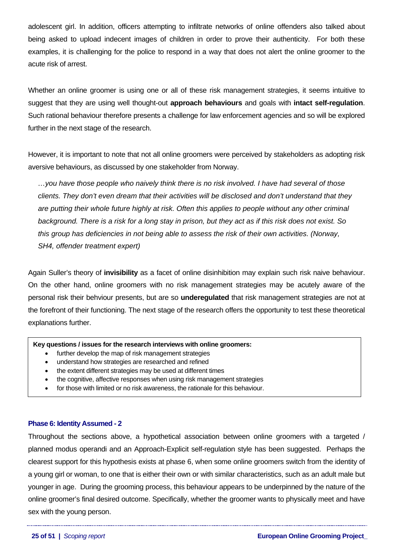<span id="page-24-0"></span>adolescent girl. In addition, officers attempting to infiltrate networks of online offenders also talked about being asked to upload indecent images of children in order to prove their authenticity. For both these examples, it is challenging for the police to respond in a way that does not alert the online groomer to the acute risk of arrest.

Whether an online groomer is using one or all of these risk management strategies, it seems intuitive to suggest that they are using well thought-out **approach behaviours** and goals with **intact self-regulation**. Such rational behaviour therefore presents a challenge for law enforcement agencies and so will be explored further in the next stage of the research.

However, it is important to note that not all online groomers were perceived by stakeholders as adopting risk aversive behaviours, as discussed by one stakeholder from Norway.

*…you have those people who naively think there is no risk involved. I have had several of those clients. They don't even dream that their activities will be disclosed and don't understand that they are putting their whole future highly at risk. Often this applies to people without any other criminal background. There is a risk for a long stay in prison, but they act as if this risk does not exist. So this group has deficiencies in not being able to assess the risk of their own activities. (Norway, SH4, offender treatment expert)* 

Again Suller's theory of **invisibility** as a facet of online disinhibition may explain such risk naive behaviour. On the other hand, online groomers with no risk management strategies may be acutely aware of the personal risk their behviour presents, but are so **underegulated** that risk management strategies are not at the forefront of their functioning. The next stage of the research offers the opportunity to test these theoretical explanations further.

#### **Key questions / issues for the research interviews with online groomers:**

- further develop the map of risk management strategies
- understand how strategies are researched and refined
- the extent different strategies may be used at different times
- the cognitive, affective responses when using risk management strategies
- for those with limited or no risk awareness, the rationale for this behaviour.

### **Phase 6: Identity Assumed - 2**

Throughout the sections above, a hypothetical association between online groomers with a targeted / planned modus operandi and an Approach-Explicit self-regulation style has been suggested. Perhaps the clearest support for this hypothesis exists at phase 6, when some online groomers switch from the identity of a young girl or woman, to one that is either their own or with similar characteristics, such as an adult male but younger in age. During the grooming process, this behaviour appears to be underpinned by the nature of the online groomer's final desired outcome. Specifically, whether the groomer wants to physically meet and have sex with the young person.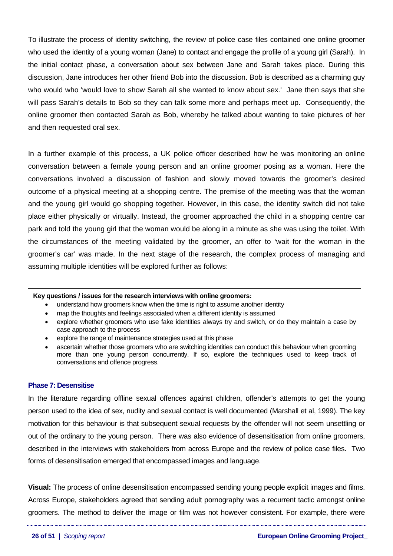<span id="page-25-0"></span>To illustrate the process of identity switching, the review of police case files contained one online groomer who used the identity of a young woman (Jane) to contact and engage the profile of a young girl (Sarah). In the initial contact phase, a conversation about sex between Jane and Sarah takes place. During this discussion, Jane introduces her other friend Bob into the discussion. Bob is described as a charming guy who would who 'would love to show Sarah all she wanted to know about sex.' Jane then says that she will pass Sarah's details to Bob so they can talk some more and perhaps meet up. Consequently, the online groomer then contacted Sarah as Bob, whereby he talked about wanting to take pictures of her and then requested oral sex.

In a further example of this process, a UK police officer described how he was monitoring an online conversation between a female young person and an online groomer posing as a woman. Here the conversations involved a discussion of fashion and slowly moved towards the groomer's desired outcome of a physical meeting at a shopping centre. The premise of the meeting was that the woman and the young girl would go shopping together. However, in this case, the identity switch did not take place either physically or virtually. Instead, the groomer approached the child in a shopping centre car park and told the young girl that the woman would be along in a minute as she was using the toilet. With the circumstances of the meeting validated by the groomer, an offer to 'wait for the woman in the groomer's car' was made. In the next stage of the research, the complex process of managing and assuming multiple identities will be explored further as follows:

#### **Key questions / issues for the research interviews with online groomers:**

- understand how groomers know when the time is right to assume another identity
- map the thoughts and feelings associated when a different identity is assumed
- explore whether groomers who use fake identities always try and switch, or do they maintain a case by case approach to the process
- explore the range of maintenance strategies used at this phase
- ascertain whether those groomers who are switching identities can conduct this behaviour when grooming more than one young person concurrently. If so, explore the techniques used to keep track of conversations and offence progress.

#### **Phase 7: Desensitise**

In the literature regarding offline sexual offences against children, offender's attempts to get the young person used to the idea of sex, nudity and sexual contact is well documented (Marshall et al, 1999). The key motivation for this behaviour is that subsequent sexual requests by the offender will not seem unsettling or out of the ordinary to the young person. There was also evidence of desensitisation from online groomers, described in the interviews with stakeholders from across Europe and the review of police case files. Two forms of desensitisation emerged that encompassed images and language.

**Visual:** The process of online desensitisation encompassed sending young people explicit images and films. Across Europe, stakeholders agreed that sending adult pornography was a recurrent tactic amongst online groomers. The method to deliver the image or film was not however consistent. For example, there were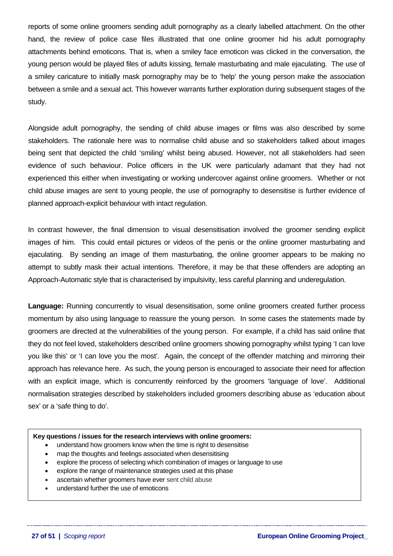reports of some online groomers sending adult pornography as a clearly labelled attachment. On the other hand, the review of police case files illustrated that one online groomer hid his adult pornography attachments behind emoticons. That is, when a smiley face emoticon was clicked in the conversation, the young person would be played files of adults kissing, female masturbating and male ejaculating. The use of a smiley caricature to initially mask pornography may be to 'help' the young person make the association between a smile and a sexual act. This however warrants further exploration during subsequent stages of the study.

Alongside adult pornography, the sending of child abuse images or films was also described by some stakeholders. The rationale here was to normalise child abuse and so stakeholders talked about images being sent that depicted the child 'smiling' whilst being abused. However, not all stakeholders had seen evidence of such behaviour. Police officers in the UK were particularly adamant that they had not experienced this either when investigating or working undercover against online groomers. Whether or not child abuse images are sent to young people, the use of pornography to desensitise is further evidence of planned approach-explicit behaviour with intact regulation.

In contrast however, the final dimension to visual desensitisation involved the groomer sending explicit images of him. This could entail pictures or videos of the penis or the online groomer masturbating and ejaculating. By sending an image of them masturbating, the online groomer appears to be making no attempt to subtly mask their actual intentions. Therefore, it may be that these offenders are adopting an Approach-Automatic style that is characterised by impulsivity, less careful planning and underegulation.

**Language:** Running concurrently to visual desensitisation, some online groomers created further process momentum by also using language to reassure the young person. In some cases the statements made by groomers are directed at the vulnerabilities of the young person. For example, if a child has said online that they do not feel loved, stakeholders described online groomers showing pornography whilst typing 'I can love you like this' or 'I can love you the most'. Again, the concept of the offender matching and mirroring their approach has relevance here. As such, the young person is encouraged to associate their need for affection with an explicit image, which is concurrently reinforced by the groomers 'language of love'. Additional normalisation strategies described by stakeholders included groomers describing abuse as 'education about sex' or a 'safe thing to do'.

#### **Key questions / issues for the research interviews with online groomers:**

- understand how groomers know when the time is right to desensitise
- map the thoughts and feelings associated when desensitising
- explore the process of selecting which combination of images or language to use
- explore the range of maintenance strategies used at this phase
- ascertain whether groomers have ever sent child abuse
- understand further the use of emoticons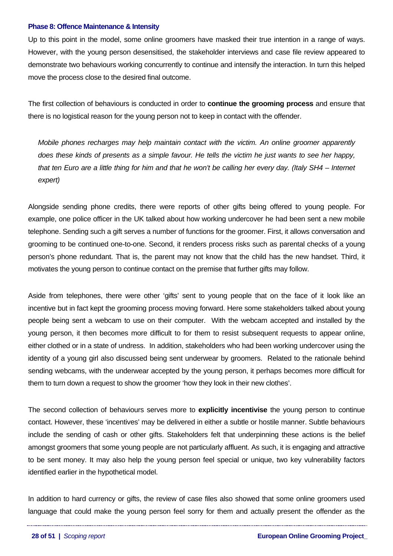#### <span id="page-27-0"></span>**Phase 8: Offence Maintenance & Intensity**

Up to this point in the model, some online groomers have masked their true intention in a range of ways. However, with the young person desensitised, the stakeholder interviews and case file review appeared to demonstrate two behaviours working concurrently to continue and intensify the interaction. In turn this helped move the process close to the desired final outcome.

The first collection of behaviours is conducted in order to **continue the grooming process** and ensure that there is no logistical reason for the young person not to keep in contact with the offender.

*Mobile phones recharges may help maintain contact with the victim. An online groomer apparently does these kinds of presents as a simple favour. He tells the victim he just wants to see her happy, that ten Euro are a little thing for him and that he won't be calling her every day. (Italy SH4 – Internet expert)* 

Alongside sending phone credits, there were reports of other gifts being offered to young people. For example, one police officer in the UK talked about how working undercover he had been sent a new mobile telephone. Sending such a gift serves a number of functions for the groomer. First, it allows conversation and grooming to be continued one-to-one. Second, it renders process risks such as parental checks of a young person's phone redundant. That is, the parent may not know that the child has the new handset. Third, it motivates the young person to continue contact on the premise that further gifts may follow.

Aside from telephones, there were other 'gifts' sent to young people that on the face of it look like an incentive but in fact kept the grooming process moving forward. Here some stakeholders talked about young people being sent a webcam to use on their computer. With the webcam accepted and installed by the young person, it then becomes more difficult to for them to resist subsequent requests to appear online, either clothed or in a state of undress. In addition, stakeholders who had been working undercover using the identity of a young girl also discussed being sent underwear by groomers. Related to the rationale behind sending webcams, with the underwear accepted by the young person, it perhaps becomes more difficult for them to turn down a request to show the groomer 'how they look in their new clothes'.

The second collection of behaviours serves more to **explicitly incentivise** the young person to continue contact. However, these 'incentives' may be delivered in either a subtle or hostile manner. Subtle behaviours include the sending of cash or other gifts. Stakeholders felt that underpinning these actions is the belief amongst groomers that some young people are not particularly affluent. As such, it is engaging and attractive to be sent money. It may also help the young person feel special or unique, two key vulnerability factors identified earlier in the hypothetical model.

In addition to hard currency or gifts, the review of case files also showed that some online groomers used language that could make the young person feel sorry for them and actually present the offender as the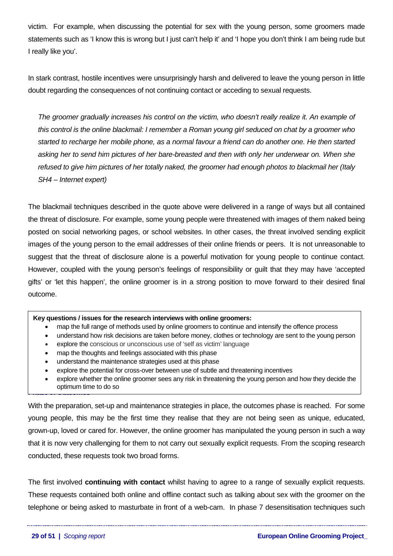<span id="page-28-0"></span>victim. For example, when discussing the potential for sex with the young person, some groomers made statements such as 'I know this is wrong but I just can't help it' and 'I hope you don't think I am being rude but I really like you'.

In stark contrast, hostile incentives were unsurprisingly harsh and delivered to leave the young person in little doubt regarding the consequences of not continuing contact or acceding to sexual requests.

*The groomer gradually increases his control on the victim, who doesn't really realize it. An example of this control is the online blackmail: I remember a Roman young girl seduced on chat by a groomer who started to recharge her mobile phone, as a normal favour a friend can do another one. He then started asking her to send him pictures of her bare-breasted and then with only her underwear on. When she refused to give him pictures of her totally naked, the groomer had enough photos to blackmail her (Italy SH4 – Internet expert)* 

The blackmail techniques described in the quote above were delivered in a range of ways but all contained the threat of disclosure. For example, some young people were threatened with images of them naked being posted on social networking pages, or school websites. In other cases, the threat involved sending explicit images of the young person to the email addresses of their online friends or peers. It is not unreasonable to suggest that the threat of disclosure alone is a powerful motivation for young people to continue contact. However, coupled with the young person's feelings of responsibility or guilt that they may have 'accepted gifts' or 'let this happen', the online groomer is in a strong position to move forward to their desired final outcome.

#### **Key questions / issues for the research interviews with online groomers:**

- map the full range of methods used by online groomers to continue and intensify the offence process
- understand how risk decisions are taken before money, clothes or technology are sent to the young person
- explore the conscious or unconscious use of 'self as victim' language
- map the thoughts and feelings associated with this phase
- understand the maintenance strategies used at this phase
- explore the potential for cross-over between use of subtle and threatening incentives
- **Phase 9: Outcomes** • explore whether the online groomer sees any risk in threatening the young person and how they decide the optimum time to do so

With the preparation, set-up and maintenance strategies in place, the outcomes phase is reached. For some young people, this may be the first time they realise that they are not being seen as unique, educated, grown-up, loved or cared for. However, the online groomer has manipulated the young person in such a way that it is now very challenging for them to not carry out sexually explicit requests. From the scoping research conducted, these requests took two broad forms.

The first involved **continuing with contact** whilst having to agree to a range of sexually explicit requests. These requests contained both online and offline contact such as talking about sex with the groomer on the telephone or being asked to masturbate in front of a web-cam. In phase 7 desensitisation techniques such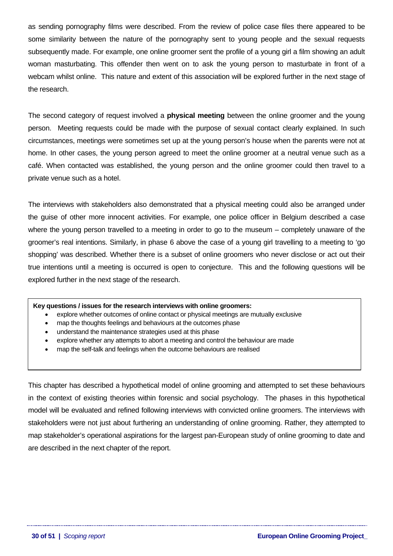as sending pornography films were described. From the review of police case files there appeared to be some similarity between the nature of the pornography sent to young people and the sexual requests subsequently made. For example, one online groomer sent the profile of a young girl a film showing an adult woman masturbating. This offender then went on to ask the young person to masturbate in front of a webcam whilst online. This nature and extent of this association will be explored further in the next stage of the research.

The second category of request involved a **physical meeting** between the online groomer and the young person. Meeting requests could be made with the purpose of sexual contact clearly explained. In such circumstances, meetings were sometimes set up at the young person's house when the parents were not at home. In other cases, the young person agreed to meet the online groomer at a neutral venue such as a café. When contacted was established, the young person and the online groomer could then travel to a private venue such as a hotel.

The interviews with stakeholders also demonstrated that a physical meeting could also be arranged under the guise of other more innocent activities. For example, one police officer in Belgium described a case where the young person travelled to a meeting in order to go to the museum – completely unaware of the groomer's real intentions. Similarly, in phase 6 above the case of a young girl travelling to a meeting to 'go shopping' was described. Whether there is a subset of online groomers who never disclose or act out their true intentions until a meeting is occurred is open to conjecture. This and the following questions will be explored further in the next stage of the research.

#### **Key questions / issues for the research interviews with online groomers:**

- explore whether outcomes of online contact or physical meetings are mutually exclusive
- map the thoughts feelings and behaviours at the outcomes phase
- understand the maintenance strategies used at this phase
- explore whether any attempts to abort a meeting and control the behaviour are made
- map the self-talk and feelings when the outcome behaviours are realised

This chapter has described a hypothetical model of online grooming and attempted to set these behaviours in the context of existing theories within forensic and social psychology. The phases in this hypothetical model will be evaluated and refined following interviews with convicted online groomers. The interviews with stakeholders were not just about furthering an understanding of online grooming. Rather, they attempted to map stakeholder's operational aspirations for the largest pan-European study of online grooming to date and are described in the next chapter of the report.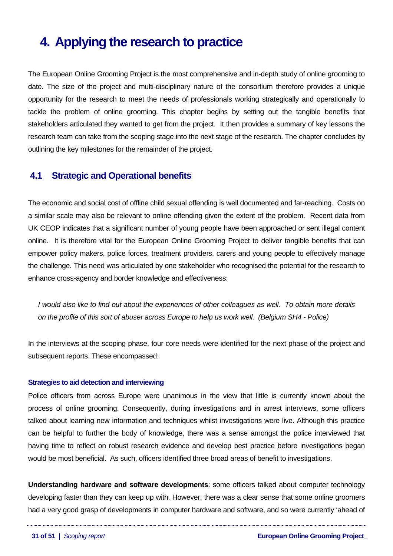# <span id="page-30-0"></span>**4. Applying the research to practice**

The European Online Grooming Project is the most comprehensive and in-depth study of online grooming to date. The size of the project and multi-disciplinary nature of the consortium therefore provides a unique opportunity for the research to meet the needs of professionals working strategically and operationally to tackle the problem of online grooming. This chapter begins by setting out the tangible benefits that stakeholders articulated they wanted to get from the project. It then provides a summary of key lessons the research team can take from the scoping stage into the next stage of the research. The chapter concludes by outlining the key milestones for the remainder of the project.

# **4.1 Strategic and Operational benefits**

The economic and social cost of offline child sexual offending is well documented and far-reaching. Costs on a similar scale may also be relevant to online offending given the extent of the problem. Recent data from UK CEOP indicates that a significant number of young people have been approached or sent illegal content online. It is therefore vital for the European Online Grooming Project to deliver tangible benefits that can empower policy makers, police forces, treatment providers, carers and young people to effectively manage the challenge. This need was articulated by one stakeholder who recognised the potential for the research to enhance cross-agency and border knowledge and effectiveness:

*I would also like to find out about the experiences of other colleagues as well. To obtain more details on the profile of this sort of abuser across Europe to help us work well. (Belgium SH4 - Police)* 

In the interviews at the scoping phase, four core needs were identified for the next phase of the project and subsequent reports. These encompassed:

### **Strategies to aid detection and interviewing**

Police officers from across Europe were unanimous in the view that little is currently known about the process of online grooming. Consequently, during investigations and in arrest interviews, some officers talked about learning new information and techniques whilst investigations were live. Although this practice can be helpful to further the body of knowledge, there was a sense amongst the police interviewed that having time to reflect on robust research evidence and develop best practice before investigations began would be most beneficial. As such, officers identified three broad areas of benefit to investigations.

**Understanding hardware and software developments**: some officers talked about computer technology developing faster than they can keep up with. However, there was a clear sense that some online groomers had a very good grasp of developments in computer hardware and software, and so were currently 'ahead of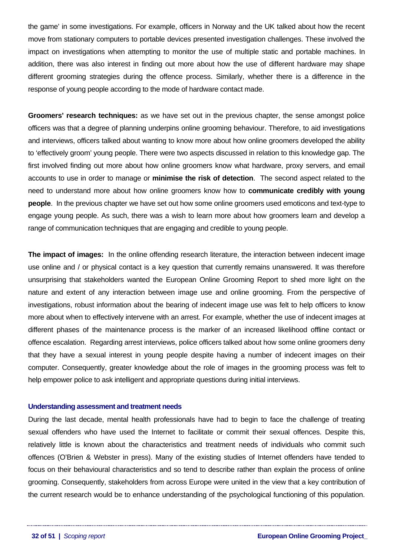<span id="page-31-0"></span>the game' in some investigations. For example, officers in Norway and the UK talked about how the recent move from stationary computers to portable devices presented investigation challenges. These involved the impact on investigations when attempting to monitor the use of multiple static and portable machines. In addition, there was also interest in finding out more about how the use of different hardware may shape different grooming strategies during the offence process. Similarly, whether there is a difference in the response of young people according to the mode of hardware contact made.

**Groomers' research techniques:** as we have set out in the previous chapter, the sense amongst police officers was that a degree of planning underpins online grooming behaviour. Therefore, to aid investigations and interviews, officers talked about wanting to know more about how online groomers developed the ability to 'effectively groom' young people. There were two aspects discussed in relation to this knowledge gap. The first involved finding out more about how online groomers know what hardware, proxy servers, and email accounts to use in order to manage or **minimise the risk of detection**. The second aspect related to the need to understand more about how online groomers know how to **communicate credibly with young people**. In the previous chapter we have set out how some online groomers used emoticons and text-type to engage young people. As such, there was a wish to learn more about how groomers learn and develop a range of communication techniques that are engaging and credible to young people.

**The impact of images:** In the online offending research literature, the interaction between indecent image use online and / or physical contact is a key question that currently remains unanswered. It was therefore unsurprising that stakeholders wanted the European Online Grooming Report to shed more light on the nature and extent of any interaction between image use and online grooming. From the perspective of investigations, robust information about the bearing of indecent image use was felt to help officers to know more about when to effectively intervene with an arrest. For example, whether the use of indecent images at different phases of the maintenance process is the marker of an increased likelihood offline contact or offence escalation. Regarding arrest interviews, police officers talked about how some online groomers deny that they have a sexual interest in young people despite having a number of indecent images on their computer. Consequently, greater knowledge about the role of images in the grooming process was felt to help empower police to ask intelligent and appropriate questions during initial interviews.

#### **Understanding assessment and treatment needs**

During the last decade, mental health professionals have had to begin to face the challenge of treating sexual offenders who have used the Internet to facilitate or commit their sexual offences. Despite this, relatively little is known about the characteristics and treatment needs of individuals who commit such offences (O'Brien & Webster in press). Many of the existing studies of Internet offenders have tended to focus on their behavioural characteristics and so tend to describe rather than explain the process of online grooming. Consequently, stakeholders from across Europe were united in the view that a key contribution of the current research would be to enhance understanding of the psychological functioning of this population.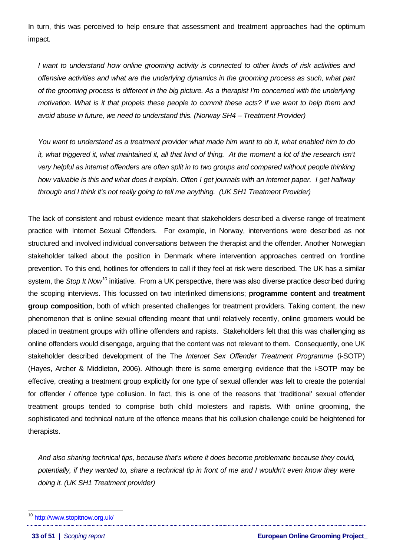In turn, this was perceived to help ensure that assessment and treatment approaches had the optimum impact.

*I want to understand how online grooming activity is connected to other kinds of risk activities and offensive activities and what are the underlying dynamics in the grooming process as such, what part of the grooming process is different in the big picture. As a therapist I'm concerned with the underlying motivation. What is it that propels these people to commit these acts? If we want to help them and avoid abuse in future, we need to understand this. (Norway SH4 – Treatment Provider)* 

*You want to understand as a treatment provider what made him want to do it, what enabled him to do it, what triggered it, what maintained it, all that kind of thing. At the moment a lot of the research isn't very helpful as internet offenders are often split in to two groups and compared without people thinking how valuable is this and what does it explain. Often I get journals with an internet paper. I get halfway through and I think it's not really going to tell me anything. (UK SH1 Treatment Provider)* 

The lack of consistent and robust evidence meant that stakeholders described a diverse range of treatment practice with Internet Sexual Offenders. For example, in Norway, interventions were described as not structured and involved individual conversations between the therapist and the offender. Another Norwegian stakeholder talked about the position in Denmark where intervention approaches centred on frontline prevention. To this end, hotlines for offenders to call if they feel at risk were described. The UK has a similar system, the *Stop It Now[10](#page-32-0)* initiative. From a UK perspective, there was also diverse practice described during the scoping interviews. This focussed on two interlinked dimensions; **programme content** and **treatment group composition**, both of which presented challenges for treatment providers. Taking content, the new phenomenon that is online sexual offending meant that until relatively recently, online groomers would be placed in treatment groups with offline offenders and rapists. Stakeholders felt that this was challenging as online offenders would disengage, arguing that the content was not relevant to them. Consequently, one UK stakeholder described development of the The *Internet Sex Offender Treatment Programme* (i-SOTP) (Hayes, Archer & Middleton, 2006). Although there is some emerging evidence that the i-SOTP may be effective, creating a treatment group explicitly for one type of sexual offender was felt to create the potential for offender / offence type collusion. In fact, this is one of the reasons that 'traditional' sexual offender treatment groups tended to comprise both child molesters and rapists. With online grooming, the sophisticated and technical nature of the offence means that his collusion challenge could be heightened for therapists.

*And also sharing technical tips, because that's where it does become problematic because they could,*  potentially, if they wanted to, share a technical tip in front of me and I wouldn't even know they were *doing it. (UK SH1 Treatment provider)* 

 $\overline{a}$ 

<span id="page-32-0"></span><sup>&</sup>lt;sup>10</sup> <http://www.stopitnow.org.uk/>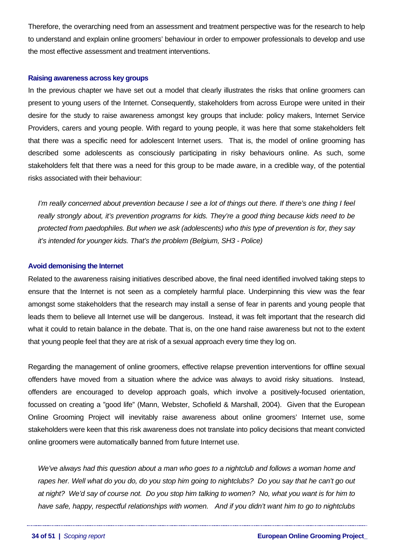<span id="page-33-0"></span>Therefore, the overarching need from an assessment and treatment perspective was for the research to help to understand and explain online groomers' behaviour in order to empower professionals to develop and use the most effective assessment and treatment interventions.

#### **Raising awareness across key groups**

In the previous chapter we have set out a model that clearly illustrates the risks that online groomers can present to young users of the Internet. Consequently, stakeholders from across Europe were united in their desire for the study to raise awareness amongst key groups that include: policy makers, Internet Service Providers, carers and young people. With regard to young people, it was here that some stakeholders felt that there was a specific need for adolescent Internet users. That is, the model of online grooming has described some adolescents as consciously participating in risky behaviours online. As such, some stakeholders felt that there was a need for this group to be made aware, in a credible way, of the potential risks associated with their behaviour:

*I'm really concerned about prevention because I see a lot of things out there. If there's one thing I feel really strongly about, it's prevention programs for kids. They're a good thing because kids need to be protected from paedophiles. But when we ask (adolescents) who this type of prevention is for, they say it's intended for younger kids. That's the problem (Belgium, SH3 - Police)* 

### **Avoid demonising the Internet**

Related to the awareness raising initiatives described above, the final need identified involved taking steps to ensure that the Internet is not seen as a completely harmful place. Underpinning this view was the fear amongst some stakeholders that the research may install a sense of fear in parents and young people that leads them to believe all Internet use will be dangerous. Instead, it was felt important that the research did what it could to retain balance in the debate. That is, on the one hand raise awareness but not to the extent that young people feel that they are at risk of a sexual approach every time they log on.

Regarding the management of online groomers, effective relapse prevention interventions for offline sexual offenders have moved from a situation where the advice was always to avoid risky situations. Instead, offenders are encouraged to develop approach goals, which involve a positively-focused orientation, focussed on creating a "good life" (Mann, Webster, Schofield & Marshall, 2004). Given that the European Online Grooming Project will inevitably raise awareness about online groomers' Internet use, some stakeholders were keen that this risk awareness does not translate into policy decisions that meant convicted online groomers were automatically banned from future Internet use.

*We've always had this question about a man who goes to a nightclub and follows a woman home and rapes her. Well what do you do, do you stop him going to nightclubs? Do you say that he can't go out at night? We'd say of course not. Do you stop him talking to women? No, what you want is for him to have safe, happy, respectful relationships with women. And if you didn't want him to go to nightclubs*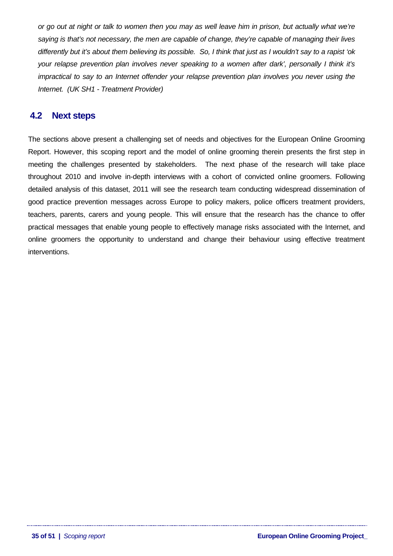<span id="page-34-0"></span>*or go out at night or talk to women then you may as well leave him in prison, but actually what we're saying is that's not necessary, the men are capable of change, they're capable of managing their lives differently but it's about them believing its possible. So, I think that just as I wouldn't say to a rapist 'ok your relapse prevention plan involves never speaking to a women after dark', personally I think it's impractical to say to an Internet offender your relapse prevention plan involves you never using the Internet. (UK SH1 - Treatment Provider)* 

# **4.2 Next steps**

The sections above present a challenging set of needs and objectives for the European Online Grooming Report. However, this scoping report and the model of online grooming therein presents the first step in meeting the challenges presented by stakeholders. The next phase of the research will take place throughout 2010 and involve in-depth interviews with a cohort of convicted online groomers. Following detailed analysis of this dataset, 2011 will see the research team conducting widespread dissemination of good practice prevention messages across Europe to policy makers, police officers treatment providers, teachers, parents, carers and young people. This will ensure that the research has the chance to offer practical messages that enable young people to effectively manage risks associated with the Internet, and online groomers the opportunity to understand and change their behaviour using effective treatment interventions.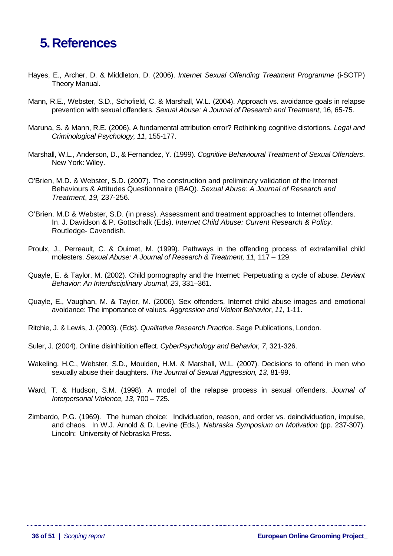# <span id="page-35-0"></span>**5. References**

- Hayes, E., Archer, D. & Middleton, D. (2006). *Internet Sexual Offending Treatment Programme* (i-SOTP) Theory Manual.
- Mann, R.E., Webster, S.D., Schofield, C. & Marshall, W.L. (2004). Approach vs. avoidance goals in relapse prevention with sexual offenders. *Sexual Abuse: A Journal of Research and Treatment*, 16, 65-75.
- Maruna, S. & Mann, R.E. (2006). A fundamental attribution error? Rethinking cognitive distortions. *Legal and Criminological Psychology, 11*, 155-177.
- Marshall, W.L., Anderson, D., & Fernandez, Y. (1999). *Cognitive Behavioural Treatment of Sexual Offenders*. New York: Wiley.
- O'Brien, M.D. & Webster, S.D. (2007). The construction and preliminary validation of the Internet Behaviours & Attitudes Questionnaire (IBAQ). *Sexual Abuse: A Journal of Research and Treatment*, *19,* 237-256.
- O'Brien. M.D & Webster, S.D. (in press). Assessment and treatment approaches to Internet offenders. In. J. Davidson & P. Gottschalk (Eds). *Internet Child Abuse: Current Research & Policy*. Routledge- Cavendish.
- Proulx, J., Perreault, C. & Ouimet, M. (1999). Pathways in the offending process of extrafamilial child molesters. *Sexual Abuse: A Journal of Research & Treatment, 11,* 117 – 129.
- Quayle, E. & Taylor, M. (2002). Child pornography and the Internet: Perpetuating a cycle of abuse. *Deviant Behavior: An Interdisciplinary Journal*, *23*, 331–361.
- Quayle, E., Vaughan, M. & Taylor, M. (2006). Sex offenders, Internet child abuse images and emotional avoidance: The importance of values. *Aggression and Violent Behavior*, *11*, 1-11.
- Ritchie, J. & Lewis, J. (2003). (Eds). *Qualitative Research Practice*. Sage Publications, London.
- Suler, J. (2004). Online disinhibition effect. *CyberPsychology and Behavior, 7*, 321-326.
- Wakeling, H.C., Webster, S.D., Moulden, H.M. & Marshall, W.L. (2007). Decisions to offend in men who sexually abuse their daughters. *The Journal of Sexual Aggression, 13,* 81-99.
- Ward, T. & Hudson, S.M. (1998). A model of the relapse process in sexual offenders. *Journal of Interpersonal Violence, 13*, 700 – 725.
- Zimbardo, P.G. (1969). The human choice: Individuation, reason, and order vs. deindividuation, impulse, and chaos. In W.J. Arnold & D. Levine (Eds.), *Nebraska Symposium on Motivation* (pp. 237-307). Lincoln: University of Nebraska Press.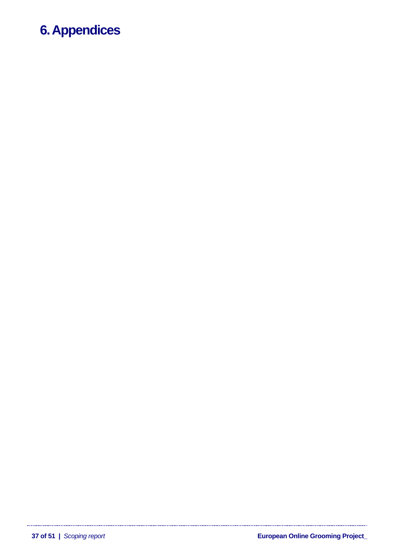# <span id="page-36-0"></span>**6. Appendices**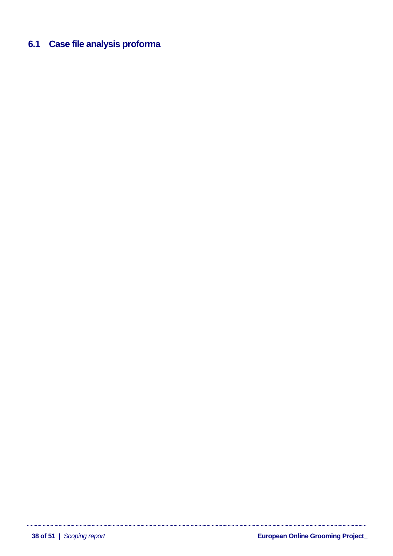# <span id="page-37-0"></span>**6.1 Case file analysis proforma**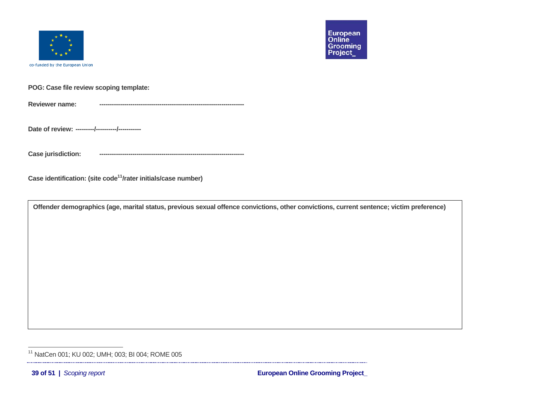

<span id="page-38-0"></span>

**POG: Case file review scoping template:** 

**Reviewer name:----------------------------------------------------------------------**

**Date of review: ---------/----------/-----------**

**Case jurisdiction:** 

**Case identification: (site code[11/](#page-38-0)rater initials/case number)**

**Offender demographics (age, marital status, previous sexual offence convictions, other convictions, current sentence; victim preference)** 

<sup>&</sup>lt;sup>11</sup> NatCen 001; KU 002; UMH; 003; BI 004; ROME 005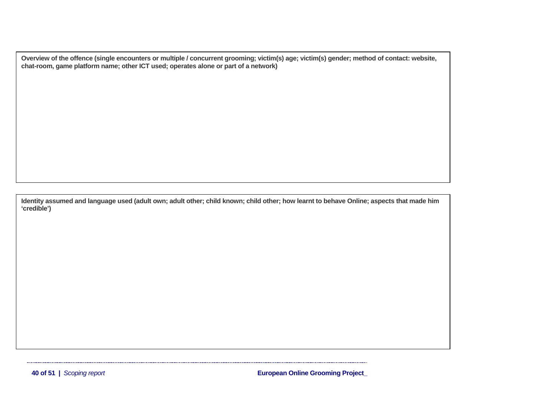**Overview of the offence (single encounters or multiple / concurrent grooming; victim(s) age; victim(s) gender; method of contact: website, chat-room, game platform name; other ICT used; operates alone or part of a network)** 

**Identity assumed and language used (adult own; adult other; child known; child other; how learnt to behave Online; aspects that made him 'credible')**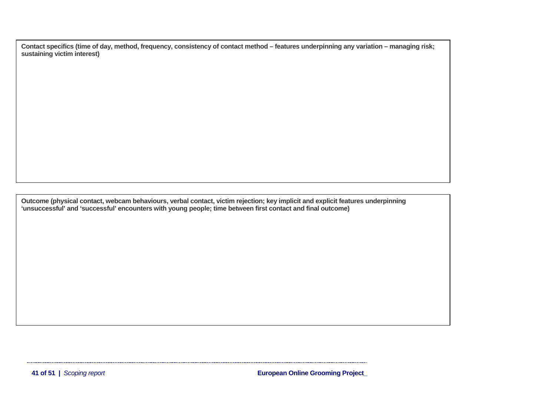**Contact specifics (time of day, method, frequency, consistency of contact method – features underpinning any variation – managing risk; sustaining victim interest)** 

**Outcome (physical contact, webcam behaviours, verbal contact, victim rejection; key implicit and explicit features underpinning 'unsuccessful' and 'successful' encounters with young people; time between first contact and final outcome)**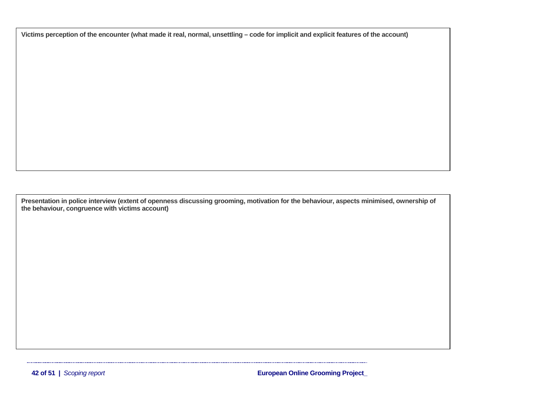**Victims perception of the encounter (what made it real, normal, unsettling – code for implicit and explicit features of the account)**

**Presentation in police interview (extent of openness discussing grooming, motivation for the behaviour, aspects minimised, ownership of the behaviour, congruence with victims account)**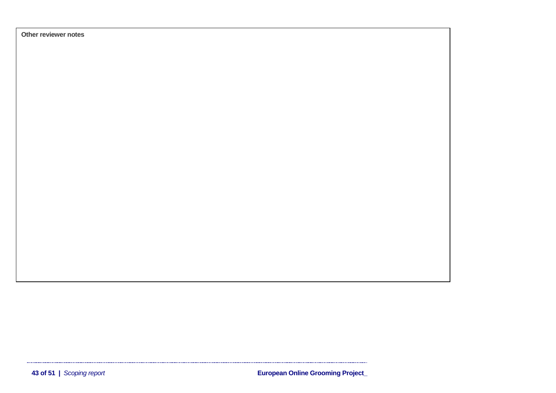**Other reviewer notes** 

 $\mathsf{European}\ \mathsf{Online}\ \mathsf{Grooming}\ \mathsf{Project}\_$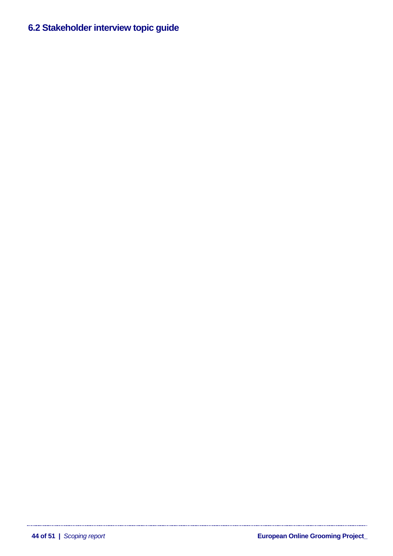# <span id="page-43-0"></span>**6.2Stakeholder interview topic guide**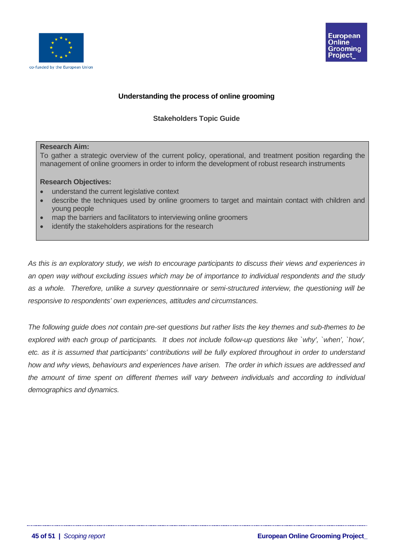



# **Understanding the process of online grooming**

# **Stakeholders Topic Guide**

### **Research Aim:**

To gather a strategic overview of the current policy, operational, and treatment position regarding the management of online groomers in order to inform the development of robust research instruments

## **Research Objectives:**

- understand the current legislative context
- describe the techniques used by online groomers to target and maintain contact with children and young people
- map the barriers and facilitators to interviewing online groomers
- identify the stakeholders aspirations for the research

*As this is an exploratory study, we wish to encourage participants to discuss their views and experiences in an open way without excluding issues which may be of importance to individual respondents and the study as a whole. Therefore, unlike a survey questionnaire or semi-structured interview, the questioning will be responsive to respondents' own experiences, attitudes and circumstances.*

*The following guide does not contain pre-set questions but rather lists the key themes and sub-themes to be explored with each group of participants. It does not include follow-up questions like `why', `when', `how', etc. as it is assumed that participants' contributions will be fully explored throughout in order to understand how and why views, behaviours and experiences have arisen. The order in which issues are addressed and the amount of time spent on different themes will vary between individuals and according to individual demographics and dynamics.*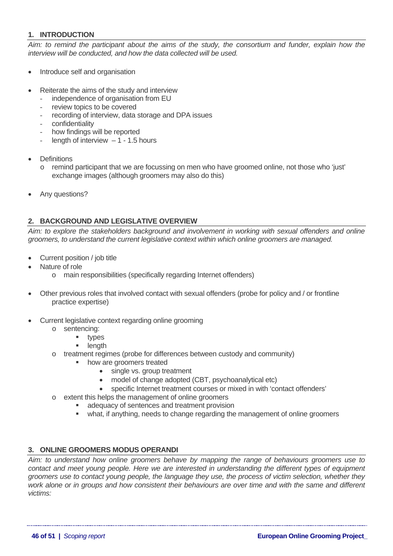# **1. INTRODUCTION**

*Aim: to remind the participant about the aims of the study, the consortium and funder, explain how the interview will be conducted, and how the data collected will be used.* 

- Introduce self and organisation
- Reiterate the aims of the study and interview
	- independence of organisation from EU
	- review topics to be covered
	- recording of interview, data storage and DPA issues
	- confidentiality
	- how findings will be reported
	- length of interview  $-1 1.5$  hours
- **Definitions** 
	- $\circ$  remind participant that we are focussing on men who have groomed online, not those who 'just' exchange images (although groomers may also do this)
- Any questions?

# **2. BACKGROUND AND LEGISLATIVE OVERVIEW**

*Aim: to explore the stakeholders background and involvement in working with sexual offenders and online groomers, to understand the current legislative context within which online groomers are managed.* 

- Current position / job title
- Nature of role
	- o main responsibilities (specifically regarding Internet offenders)
- Other previous roles that involved contact with sexual offenders (probe for policy and / or frontline practice expertise)
- Current legislative context regarding online grooming
	- o sentencing:
		- types
		- length
	- o treatment regimes (probe for differences between custody and community)
		- how are groomers treated
			- single vs. group treatment
				- model of change adopted (CBT, psychoanalytical etc)
			- specific Internet treatment courses or mixed in with 'contact offenders'
	- o extent this helps the management of online groomers
		- adequacy of sentences and treatment provision
		- what, if anything, needs to change regarding the management of online groomers

# **3. ONLINE GROOMERS MODUS OPERANDI**

*Aim: to understand how online groomers behave by mapping the range of behaviours groomers use to contact and meet young people. Here we are interested in understanding the different types of equipment groomers use to contact young people, the language they use, the process of victim selection, whether they work alone or in groups and how consistent their behaviours are over time and with the same and different victims:*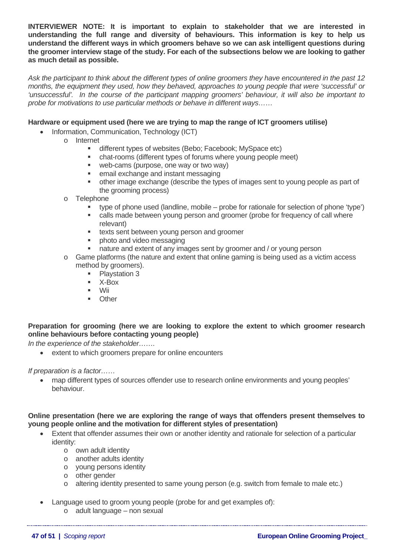**INTERVIEWER NOTE: It is important to explain to stakeholder that we are interested in understanding the full range and diversity of behaviours. This information is key to help us understand the different ways in which groomers behave so we can ask intelligent questions during the groomer interview stage of the study. For each of the subsections below we are looking to gather as much detail as possible.** 

*Ask the participant to think about the different types of online groomers they have encountered in the past 12 months, the equipment they used, how they behaved, approaches to young people that were 'successful' or 'unsuccessful'. In the course of the participant mapping groomers' behaviour, it will also be important to probe for motivations to use particular methods or behave in different ways……* 

## **Hardware or equipment used (here we are trying to map the range of ICT groomers utilise)**

- Information, Communication, Technology (ICT)
	- o Internet
		- **different types of websites (Bebo; Facebook; MySpace etc)**
		- chat-rooms (different types of forums where young people meet)
		- **web-cams (purpose, one way or two way)**
		- **EXEC** email exchange and instant messaging
		- other image exchange (describe the types of images sent to young people as part of the grooming process)
	- o Telephone
		- $\bullet$  type of phone used (landline, mobile probe for rationale for selection of phone 'type')
		- calls made between young person and groomer (probe for frequency of call where relevant)
		- **texts sent between young person and groomer**
		- photo and video messaging
		- nature and extent of any images sent by groomer and / or young person
	- o Game platforms (the nature and extent that online gaming is being used as a victim access method by groomers).
		- $\blacksquare$  Playstation 3
		- X-Box
		- $\blacksquare$  Wii
		- **Other**

# **Preparation for grooming (here we are looking to explore the extent to which groomer research online behaviours before contacting young people)**

*In the experience of the stakeholder…….* 

• extent to which groomers prepare for online encounters

*If preparation is a factor……* 

• map different types of sources offender use to research online environments and young peoples' behaviour.

## **Online presentation (here we are exploring the range of ways that offenders present themselves to young people online and the motivation for different styles of presentation)**

- Extent that offender assumes their own or another identity and rationale for selection of a particular identity:
	- o own adult identity
	- o another adults identity
	- o young persons identity
	- o other gender
	- $\circ$  altering identity presented to same young person (e.g. switch from female to male etc.)
- Language used to groom young people (probe for and get examples of):
	- o adult language non sexual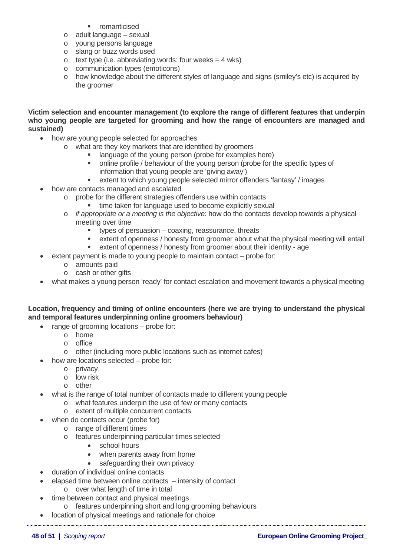- romanticised
- o adult language sexual
- o young persons language
- o slang or buzz words used
- $\circ$  text type (i.e. abbreviating words: four weeks = 4 wks)
- o communication types (emoticons)
- o how knowledge about the different styles of language and signs (smiley's etc) is acquired by the groomer

**Victim selection and encounter management (to explore the range of different features that underpin who young people are targeted for grooming and how the range of encounters are managed and sustained)** 

- how are young people selected for approaches
	- o what are they key markers that are identified by groomers
		- **If** language of the young person (probe for examples here)
		- online profile / behaviour of the young person (probe for the specific types of information that young people are 'giving away')
		- extent to which young people selected mirror offenders 'fantasy' / images
- how are contacts managed and escalated
	- o probe for the different strategies offenders use within contacts
		- time taken for language used to become explicitly sexual
	- o *if appropriate or a meeting is the objective*: how do the contacts develop towards a physical meeting over time
		- **types of persuasion coaxing, reassurance, threats**
		- extent of openness / honesty from groomer about what the physical meeting will entail
		- extent of openness / honesty from groomer about their identity age
- extent payment is made to young people to maintain contact probe for:
	- o amounts paid
	- o cash or other gifts
- what makes a young person 'ready' for contact escalation and movement towards a physical meeting

# **Location, frequency and timing of online encounters (here we are trying to understand the physical and temporal features underpinning online groomers behaviour)**

- range of grooming locations probe for:
	- o home
	- o office
	- o other (including more public locations such as internet cafes)
- how are locations selected probe for:
	- o privacy
	- o low risk
	- o other
- what is the range of total number of contacts made to different young people
	- o what features underpin the use of few or many contacts
		- o extent of multiple concurrent contacts
- when do contacts occur (probe for)
	- o range of different times
	- o features underpinning particular times selected
		- school hours
		- when parents away from home
		- safeguarding their own privacy
- duration of individual online contacts
- elapsed time between online contacts intensity of contact
	- o over what length of time in total
- time between contact and physical meetings
	- o features underpinning short and long grooming behaviours
- location of physical meetings and rationale for choice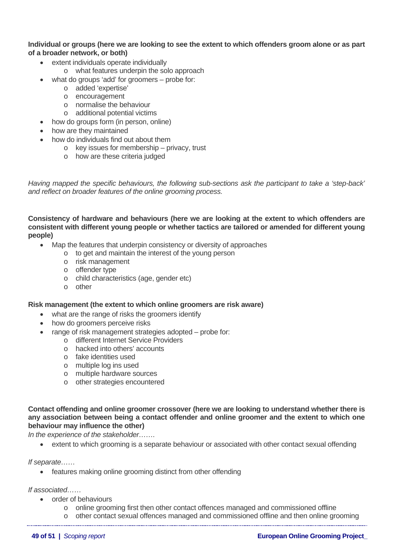## **Individual or groups (here we are looking to see the extent to which offenders groom alone or as part of a broader network, or both)**

- extent individuals operate individually
	- o what features underpin the solo approach
- what do groups 'add' for groomers probe for:
	- o added 'expertise'
	- o encouragement
	- o normalise the behaviour
	- o additional potential victims
- how do groups form (in person, online)
- how are they maintained
- how do individuals find out about them
	- o key issues for membership privacy, trust
		- o how are these criteria judged

*Having mapped the specific behaviours, the following sub-sections ask the participant to take a 'step-back' and reflect on broader features of the online grooming process.* 

**Consistency of hardware and behaviours (here we are looking at the extent to which offenders are consistent with different young people or whether tactics are tailored or amended for different young people)** 

- Map the features that underpin consistency or diversity of approaches
	- o to get and maintain the interest of the young person
	- o risk management
	- o offender type
	- o child characteristics (age, gender etc)
	- o other

### **Risk management (the extent to which online groomers are risk aware)**

- what are the range of risks the groomers identify
- how do groomers perceive risks
- range of risk management strategies adopted probe for:
	- o different Internet Service Providers
	- o hacked into others' accounts
	- o fake identities used
	- o multiple log ins used
	- o multiple hardware sources
	- o other strategies encountered

**Contact offending and online groomer crossover (here we are looking to understand whether there is any association between being a contact offender and online groomer and the extent to which one behaviour may influence the other)** 

*In the experience of the stakeholder…….* 

• extent to which grooming is a separate behaviour or associated with other contact sexual offending

*If separate……* 

• features making online grooming distinct from other offending

*If associated……* 

- order of behaviours
	- $\circ$  online grooming first then other contact offences managed and commissioned offline
- o other contact sexual offences managed and commissioned offline and then online grooming
	-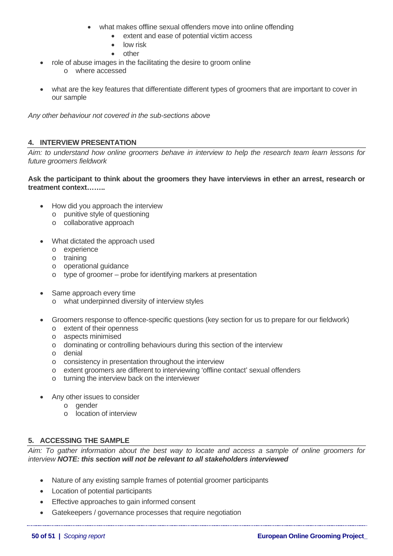- what makes offline sexual offenders move into online offending
	- extent and ease of potential victim access
	- low risk
	- other
- role of abuse images in the facilitating the desire to groom online
	- o where accessed
- what are the key features that differentiate different types of groomers that are important to cover in our sample

*Any other behaviour not covered in the sub-sections above* 

# **4. INTERVIEW PRESENTATION**

*Aim: to understand how online groomers behave in interview to help the research team learn lessons for future groomers fieldwork* 

## **Ask the participant to think about the groomers they have interviews in ether an arrest, research or treatment context……..**

- How did you approach the interview
	- o punitive style of questioning
	- o collaborative approach
- What dictated the approach used
	- o experience
	- o training
	- o operational guidance
	- o type of groomer probe for identifying markers at presentation
- Same approach every time
	- o what underpinned diversity of interview styles
- Groomers response to offence-specific questions (key section for us to prepare for our fieldwork)
	- o extent of their openness
	- o aspects minimised
	- o dominating or controlling behaviours during this section of the interview
	- o denial
	- o consistency in presentation throughout the interview
	- o extent groomers are different to interviewing 'offline contact' sexual offenders
	- o turning the interview back on the interviewer
- Any other issues to consider
	- o gender
	- o location of interview

# **5. ACCESSING THE SAMPLE**

*Aim: To gather information about the best way to locate and access a sample of online groomers for interview NOTE: this section will not be relevant to all stakeholders interviewed* 

- Nature of any existing sample frames of potential groomer participants
- Location of potential participants
- Effective approaches to gain informed consent
- Gatekeepers / governance processes that require negotiation